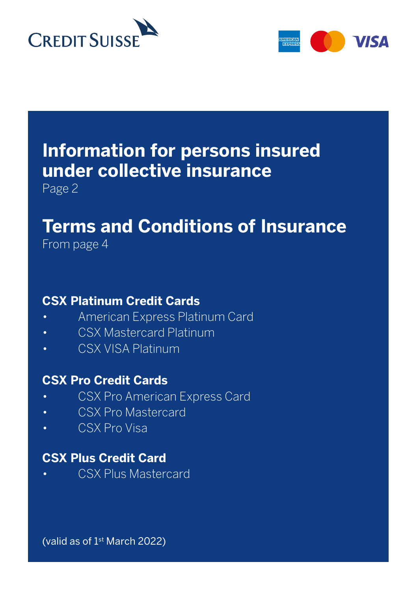



## **Information for persons insured under collective insurance**

Page 2

## **Terms and Conditions of Insurance**

From page 4

## **CSX Platinum Credit Cards**

- American Express Platinum Card
- CSX Mastercard Platinum
- CSX VISA Platinum

## **CSX Pro Credit Cards**

- CSX Pro American Express Card
- CSX Pro Mastercard
- CSX Pro Visa

## **CSX Plus Credit Card**

• CSX Plus Mastercard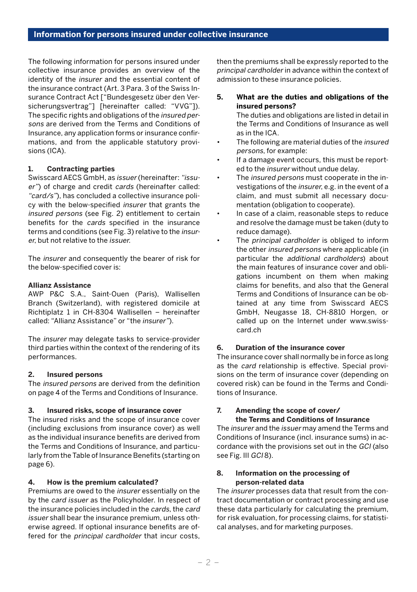## **Information for persons insured under collective insurance**

The following information for persons insured under collective insurance provides an overview of the identity of the insurer and the essential content of the insurance contract (Art. 3 Para. 3 of the Swiss Insurance Contract Act ["Bundesgesetz über den Versicherungsvertrag"] [hereinafter called: "VVG"]). The specific rights and obligations of the insured persons are derived from the Terms and Conditions of Insurance, any application forms or insurance confirmations, and from the applicable statutory provisions (ICA).

#### **1. Contracting parties**

Swisscard AECS GmbH, as issuer (hereinafter: "issuer") of charge and credit cards (hereinafter called: "card/s"), has concluded a collective insurance policy with the below-specified insurer that grants the insured persons (see Fig. 2) entitlement to certain benefits for the cards specified in the insurance terms and conditions (see Fig. 3) relative to the insurer, but not relative to the issuer.

The insurer and consequently the bearer of risk for the below-specified cover is:

## **Allianz Assistance**

AWP P&C S.A., Saint-Ouen (Paris), Wallisellen Branch (Switzerland), with registered domicile at Richtiplatz 1 in CH-8304 Wallisellen – hereinafter called: "Allianz Assistance" or "the insurer").

The insurer may delegate tasks to service-provider third parties within the context of the rendering of its performances.

## **2. Insured persons**

The insured persons are derived from the definition on page 4 of the Terms and Conditions of Insurance.

#### **3. Insured risks, scope of insurance cover**

The insured risks and the scope of insurance cover (including exclusions from insurance cover) as well as the individual insurance benefits are derived from the Terms and Conditions of Insurance, and particularly from the Table of Insurance Benefits (starting on page 6).

## **4. How is the premium calculated?**

Premiums are owed to the insurer essentially on the by the card issuer as the Policyholder. In respect of the insurance policies included in the cards, the card issuer shall bear the insurance premium, unless otherwise agreed. If optional insurance benefits are offered for the principal cardholder that incur costs,

then the premiums shall be expressly reported to the principal cardholder in advance within the context of admission to these insurance policies.

#### **5. What are the duties and obligations of the insured persons?**

 The duties and obligations are listed in detail in the Terms and Conditions of Insurance as well as in the ICA.

- The following are material duties of the insured persons, for example:
- If a damage event occurs, this must be reported to the insurer without undue delay.
- The *insured persons* must cooperate in the investigations of the insurer, e.g. in the event of a claim, and must submit all necessary documentation (obligation to cooperate).
- In case of a claim, reasonable steps to reduce and resolve the damage must be taken (duty to reduce damage).
- The *principal cardholder* is obliged to inform the other insured persons where applicable (in particular the additional cardholders) about the main features of insurance cover and obligations incumbent on them when making claims for benefits, and also that the General Terms and Conditions of Insurance can be obtained at any time from Swisscard AECS GmbH, Neugasse 18, CH-8810 Horgen, or called up on the Internet under [www.swiss](http://www.swisscard.ch/)[card.ch](http://www.swisscard.ch/)

#### **6. Duration of the insurance cover**

The insurance cover shall normally be in force as long as the card relationship is effective. Special provisions on the term of insurance cover (depending on covered risk) can be found in the Terms and Conditions of Insurance.

## **7. Amending the scope of cover/ the Terms and Conditions of Insurance**

The insurer and the issuer may amend the Terms and Conditions of Insurance (incl. insurance sums) in accordance with the provisions set out in the GCI (also see Fig. III GCI 8).

## **8. Information on the processing of person-related data**

The insurer processes data that result from the contract documentation or contract processing and use these data particularly for calculating the premium, for risk evaluation, for processing claims, for statistical analyses, and for marketing purposes.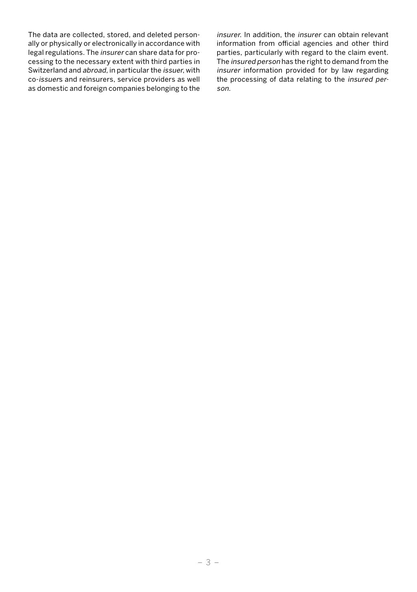The data are collected, stored, and deleted personally or physically or electronically in accordance with legal regulations. The insurer can share data for processing to the necessary extent with third parties in Switzerland and abroad, in particular the issuer, with co-issuers and reinsurers, service providers as well as domestic and foreign companies belonging to the insurer. In addition, the insurer can obtain relevant information from official agencies and other third parties, particularly with regard to the claim event. The insured person has the right to demand from the insurer information provided for by law regarding the processing of data relating to the insured person.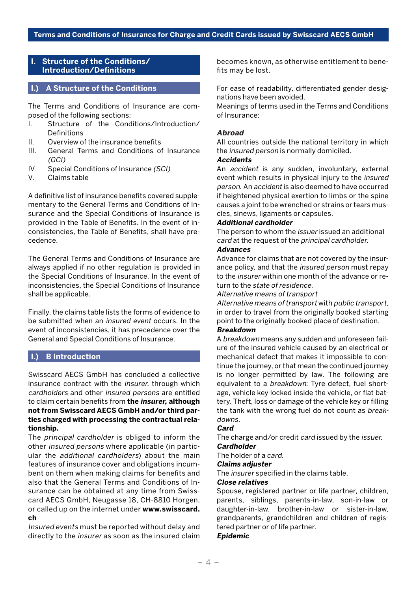## **I. Structure of the Conditions/ Introduction/Definitions**

## **I.) A Structure of the Conditions**

The Terms and Conditions of Insurance are composed of the following sections:

- I. Structure of the Conditions/Introduction/ Definitions
- II. Overview of the insurance benefits
- III. General Terms and Conditions of Insurance (GCI)
- IV Special Conditions of Insurance (SCI)
- V. Claims table

A definitive list of insurance benefits covered supplementary to the General Terms and Conditions of Insurance and the Special Conditions of Insurance is provided in the Table of Benefits. In the event of inconsistencies, the Table of Benefits, shall have precedence.

The General Terms and Conditions of Insurance are always applied if no other regulation is provided in the Special Conditions of Insurance. In the event of inconsistencies, the Special Conditions of Insurance shall be applicable.

Finally, the claims table lists the forms of evidence to be submitted when an insured event occurs. In the event of inconsistencies, it has precedence over the General and Special Conditions of Insurance.

## **I.) B Introduction**

Swisscard AECS GmbH has concluded a collective insurance contract with the insurer, through which cardholders and other insured persons are entitled to claim certain benefits from **the insurer, although not from Swisscard AECS GmbH and/or third parties charged with processing the contractual relationship.**

The principal cardholder is obliged to inform the other insured persons where applicable (in particular the additional cardholders) about the main features of insurance cover and obligations incumbent on them when making claims for benefits and also that the General Terms and Conditions of Insurance can be obtained at any time from Swisscard AECS GmbH, Neugasse 18, CH-8810 Horgen, or called up on the internet under **[www.swisscard.](http://www.swisscard.ch/) [ch](http://www.swisscard.ch/)**

Insured events must be reported without delay and directly to the insurer as soon as the insured claim

becomes known, as otherwise entitlement to benefits may be lost.

For ease of readability, differentiated gender designations have been avoided.

Meanings of terms used in the Terms and Conditions of Insurance:

#### **Abroad**

All countries outside the national territory in which the insured person is normally domiciled.

## **Accidents**

An accident is any sudden, involuntary, external event which results in physical injury to the insured person. An accident is also deemed to have occurred if heightened physical exertion to limbs or the spine causes a joint to be wrenched or strains or tears muscles, sinews, ligaments or capsules.

#### **Additional cardholder**

The person to whom the issuer issued an additional card at the request of the principal cardholder.

## **Advances**

Advance for claims that are not covered by the insurance policy, and that the insured person must repay to the insurer within one month of the advance or return to the state of residence.

Alternative means of transport

Alternative means of transport with public transport, in order to travel from the originally booked starting point to the originally booked place of destination.

## **Breakdown**

A breakdown means any sudden and unforeseen failure of the insured vehicle caused by an electrical or mechanical defect that makes it impossible to continue the journey, or that mean the continued journey is no longer permitted by law. The following are equivalent to a breakdown: Tyre defect, fuel shortage, vehicle key locked inside the vehicle, or flat battery. Theft, loss or damage of the vehicle key or filling the tank with the wrong fuel do not count as breakdowns.

#### **Card**

The charge and/or credit card issued by the issuer. **Cardholder**

The holder of a card.

## **Claims adjuster**

The insurer specified in the claims table.

#### **Close relatives**

Spouse, registered partner or life partner, children, parents, siblings, parents-in-law, son-in-law or daughter-in-law, brother-in-law or sister-in-law, grandparents, grandchildren and children of registered partner or of life partner.

## **Epidemic**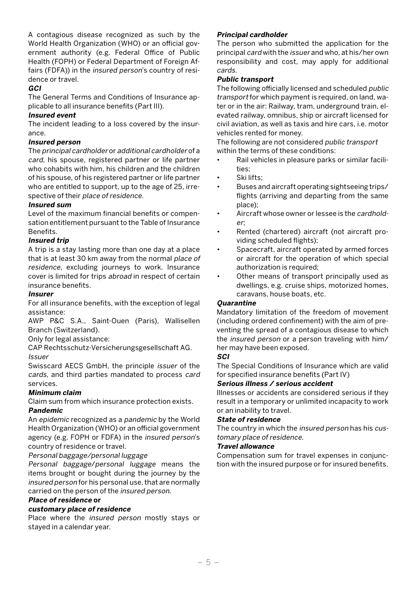A contagious disease recognized as such by the World Health Organization (WHO) or an official government authority (e.g. Federal Office of Public Health (FOPH) or Federal Department of Foreign Affairs (FDFA)) in the insured person's country of residence or travel.

## **GCI**

The General Terms and Conditions of Insurance applicable to all insurance benefits (Part III).

## **Insured event**

The incident leading to a loss covered by the insurance.

## **Insured person**

The principal cardholder or additional cardholder of a card, his spouse, registered partner or life partner who cohabits with him, his children and the children of his spouse, of his registered partner or life partner who are entitled to support, up to the age of 25, irrespective of their place of residence.

## **Insured sum**

Level of the maximum financial benefits or compensation entitlement pursuant to the Table of Insurance Benefits.

## **Insured trip**

A trip is a stay lasting more than one day at a place that is at least 30 km away from the normal place of residence, excluding journeys to work. Insurance cover is limited for trips abroad in respect of certain insurance benefits.

## **Insurer**

For all insurance benefits, with the exception of legal assistance:

AWP P&C S.A., Saint-Ouen (Paris), Wallisellen Branch (Switzerland).

Only for legal assistance:

CAP Rechtsschutz-Versicherungsgesellschaft AG. Issuer

Swisscard AECS GmbH, the principle issuer of the cards, and third parties mandated to process card services.

## **Minimum claim**

Claim sum from which insurance protection exists.

## **Pandemic**

An epidemic recognized as a pandemic by the World Health Organization (WHO) or an official government agency (e.g. FOPH or FDFA) in the insured person's country of residence or travel.

## Personal baggage/personal luggage

Personal baggage/personal luggage means the items brought or bought during the journey by the insured person for his personal use, that are normally carried on the person of the insured person.

## **Place of residence or**

## **customary place of residence**

Place where the insured person mostly stays or stayed in a calendar year.

## **Principal cardholder**

The person who submitted the application for the principal card with the issuer and who, at his/her own responsibility and cost, may apply for additional cards.

## **Public transport**

The following officially licensed and scheduled public transport for which payment is required, on land, water or in the air: Railway, tram, underground train, elevated railway, omnibus, ship or aircraft licensed for civil aviation, as well as taxis and hire cars, i.e. motor vehicles rented for money.

The following are not considered public transport within the terms of these conditions:

- Rail vehicles in pleasure parks or similar facilities;
- Ski lifts:
- Buses and aircraft operating sightseeing trips/ flights (arriving and departing from the same place);
- Aircraft whose owner or lessee is the cardholder;
- Rented (chartered) aircraft (not aircraft providing scheduled flights);
- Spacecraft, aircraft operated by armed forces or aircraft for the operation of which special authorization is required;
- Other means of transport principally used as dwellings, e.g. cruise ships, motorized homes, caravans, house boats, etc.

## **Quarantine**

Mandatory limitation of the freedom of movement (including ordered confinement) with the aim of preventing the spread of a contagious disease to which the insured person or a person traveling with him/ her may have been exposed.

## **SCI**

The Special Conditions of Insurance which are valid for specified insurance benefits (Part IV)

## **Serious illness / serious accident**

Illnesses or accidents are considered serious if they result in a temporary or unlimited incapacity to work or an inability to travel.

## **State of residence**

The country in which the insured person has his customary place of residence.

## **Travel allowance**

Compensation sum for travel expenses in conjunction with the insured purpose or for insured benefits.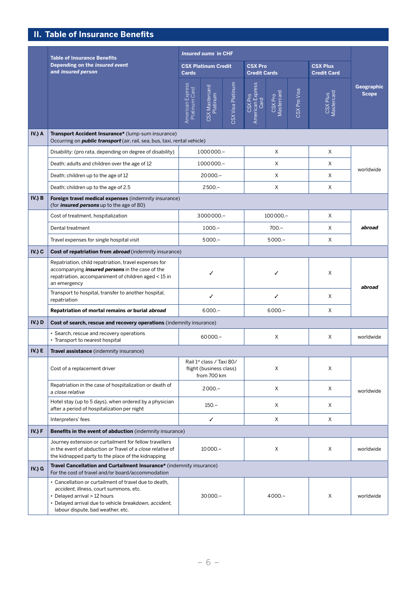## **II. Table of Insurance Benefits**

|             | <b>Insured sums in CHF</b><br><b>Table of Insurance Benefits</b>                                                                                                                                                              |                                     |                                                                     |                                       |                                     |                              |                                       |                        |                            |  |
|-------------|-------------------------------------------------------------------------------------------------------------------------------------------------------------------------------------------------------------------------------|-------------------------------------|---------------------------------------------------------------------|---------------------------------------|-------------------------------------|------------------------------|---------------------------------------|------------------------|----------------------------|--|
|             | Depending on the insured event<br>and insured person                                                                                                                                                                          | <b>CSX Platinum Credit</b><br>Cards |                                                                     | <b>CSX Pro</b><br><b>Credit Cards</b> |                                     |                              | <b>CSX Plus</b><br><b>Credit Card</b> |                        |                            |  |
|             |                                                                                                                                                                                                                               | American Express<br>Platinum Card   | <b>CSX</b> Mastercard<br>Platinum                                   | CSX Visa Platinum                     | CSX Pro<br>American Express<br>Card | <b>Aastercard</b><br>CSX Pro | CSX Pro Visa                          | CSX Plus<br>Mastercard | Geographic<br><b>Scope</b> |  |
| IV.) A      | Transport Accident Insurance* (lump-sum insurance)<br>Occurring on <i>public transport</i> (air, rail, sea, bus, taxi, rental vehicle)                                                                                        |                                     |                                                                     |                                       |                                     |                              |                                       |                        |                            |  |
|             | Disability: (pro rata, depending on degree of disability)                                                                                                                                                                     |                                     | 1000000 .-                                                          |                                       | Χ                                   |                              |                                       | Х                      |                            |  |
|             | Death; adults and children over the age of 12                                                                                                                                                                                 | 1000000 .-                          |                                                                     |                                       | X                                   |                              |                                       | X                      |                            |  |
|             | Death; children up to the age of 12                                                                                                                                                                                           | $20000 -$                           |                                                                     |                                       | X                                   |                              |                                       | X                      | worldwide                  |  |
|             | Death; children up to the age of 2.5                                                                                                                                                                                          |                                     | $2500 -$                                                            |                                       | $\times$                            |                              |                                       | X                      |                            |  |
| $IV.$ ) B   | Foreign travel medical expenses (indemnity insurance)<br>(for <i>insured persons</i> up to the age of 80)                                                                                                                     |                                     |                                                                     |                                       |                                     |                              |                                       |                        |                            |  |
|             | Cost of treatment, hospitalization                                                                                                                                                                                            |                                     | 3000000.-                                                           |                                       | 100000 .-                           |                              |                                       | X                      |                            |  |
|             | Dental treatment                                                                                                                                                                                                              |                                     | $1000 -$                                                            |                                       | $700 -$                             |                              |                                       | Χ                      | abroad                     |  |
|             | Travel expenses for single hospital visit                                                                                                                                                                                     | $5000 -$                            |                                                                     | $5000 -$                              |                                     |                              | $\mathsf{x}$                          |                        |                            |  |
| $IV.$ ) $C$ | Cost of repatriation from abroad (indemnity insurance)                                                                                                                                                                        |                                     |                                                                     |                                       |                                     |                              |                                       |                        |                            |  |
|             | Repatriation, child repatriation, travel expenses for<br>accompanying <i>insured persons</i> in the case of the<br>repatriation, accompaniment of children aged < 15 in<br>an emergency                                       |                                     | ✓                                                                   |                                       |                                     | ✓                            |                                       | X                      | abroad                     |  |
|             | Transport to hospital, transfer to another hospital,<br>repatriation                                                                                                                                                          |                                     | J                                                                   |                                       | J                                   |                              | X                                     |                        |                            |  |
|             | Repatriation of mortal remains or burial abroad                                                                                                                                                                               |                                     | $6000 -$                                                            |                                       |                                     | $6000 -$                     |                                       | $\mathsf{x}$           |                            |  |
| IV.) D      | Cost of search, rescue and recovery operations (indemnity insurance)                                                                                                                                                          |                                     |                                                                     |                                       |                                     |                              |                                       |                        |                            |  |
|             | · Search, rescue and recovery operations<br>• Transport to nearest hospital                                                                                                                                                   | $60000 -$                           |                                                                     | X                                     |                                     |                              | X                                     | worldwide              |                            |  |
| IV.) E      | Travel assistance (indemnity insurance)                                                                                                                                                                                       |                                     |                                                                     |                                       |                                     |                              |                                       |                        |                            |  |
|             | Cost of a replacement driver                                                                                                                                                                                                  |                                     | Rail 1st class / Taxi 80/<br>flight (business class)<br>from 700 km |                                       |                                     | X                            |                                       | X                      |                            |  |
|             | Repatriation in the case of hospitalization or death of<br>a close relative                                                                                                                                                   | $2000 -$                            |                                                                     | X                                     |                                     | X                            | worldwide                             |                        |                            |  |
|             | Hotel stay (up to 5 days), when ordered by a physician<br>after a period of hospitalization per night                                                                                                                         |                                     | $150 -$                                                             |                                       |                                     | $\times$                     |                                       | X                      |                            |  |
|             | Interpreters' fees                                                                                                                                                                                                            |                                     | ✓                                                                   |                                       |                                     | X                            |                                       | X                      |                            |  |
| $IV.$ ) $F$ | Benefits in the event of abduction (indemnity insurance)                                                                                                                                                                      |                                     |                                                                     |                                       |                                     |                              |                                       |                        |                            |  |
|             | Journey extension or curtailment for fellow travellers<br>in the event of abduction or Travel of a close relative of<br>the kidnapped party to the place of the kidnapping                                                    |                                     | $10000 -$                                                           |                                       |                                     | $\times$                     |                                       | $\mathsf{x}$           | worldwide                  |  |
| IV.) G      | Travel Cancellation and Curtailment Insurance* (indemnity insurance)<br>For the cost of travel and/or board/accommodation                                                                                                     |                                     |                                                                     |                                       |                                     |                              |                                       |                        |                            |  |
|             | • Cancellation or curtailment of travel due to death.<br>accident, illness, court summons, etc.<br>• Delayed arrival > 12 hours<br>· Delayed arrival due to vehicle breakdown, accident,<br>labour dispute, bad weather, etc. |                                     | $30000 -$                                                           |                                       |                                     | $4000 -$                     |                                       | X                      | worldwide                  |  |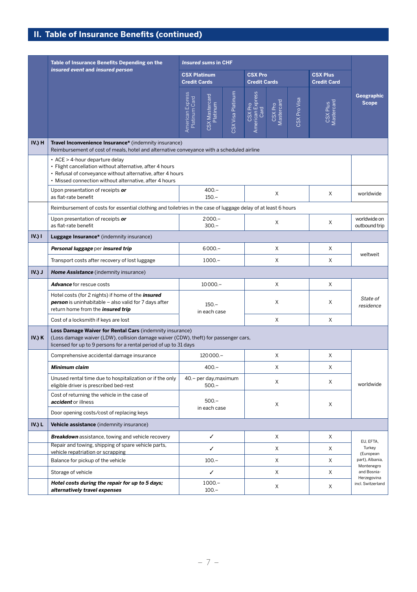## **II. Table of Insurance Benefits (continued)**

|           | Table of Insurance Benefits Depending on the<br>insured event and insured person                                                                                                                                      |                                          | <b>Insured sums in CHF</b>                 |                   |                                     |                                       |                   |                                       |                               |  |
|-----------|-----------------------------------------------------------------------------------------------------------------------------------------------------------------------------------------------------------------------|------------------------------------------|--------------------------------------------|-------------------|-------------------------------------|---------------------------------------|-------------------|---------------------------------------|-------------------------------|--|
|           |                                                                                                                                                                                                                       |                                          | <b>CSX Platinum</b><br><b>Credit Cards</b> |                   |                                     | <b>CSX Pro</b><br><b>Credit Cards</b> |                   | <b>CSX Plus</b><br><b>Credit Card</b> |                               |  |
|           |                                                                                                                                                                                                                       | American Express<br><b>Platinum Card</b> | CSX Mastercard<br>Platinum                 | CSX Visa Platinum | American Express<br>Card<br>CSX Pro | Mastercard<br>CSX Pro                 | CSX Pro Visa      | Mastercard<br>CSX Plus                | Geographic<br><b>Scope</b>    |  |
| IV.) H    | Travel Inconvenience Insurance* (indemnity insurance)<br>Reimbursement of cost of meals, hotel and alternative conveyance with a scheduled airline                                                                    |                                          |                                            |                   |                                     |                                       |                   |                                       |                               |  |
|           | • ACE > 4-hour departure delay<br>· Flight cancellation without alternative, after 4 hours<br>• Refusal of conveyance without alternative, after 4 hours<br>• Missed connection without alternative, after 4 hours    |                                          |                                            |                   |                                     |                                       |                   |                                       |                               |  |
|           | Upon presentation of receipts or<br>as flat-rate benefit                                                                                                                                                              |                                          | $400 -$<br>$150 -$                         |                   | X                                   |                                       |                   | X                                     | worldwide                     |  |
|           | Reimbursement of costs for essential clothing and toiletries in the case of luggage delay of at least 6 hours                                                                                                         |                                          |                                            |                   |                                     |                                       |                   |                                       |                               |  |
|           | Upon presentation of receipts or<br>as flat-rate benefit                                                                                                                                                              |                                          | $2000 -$<br>$300 -$                        |                   | X                                   |                                       | X                 | worldwide on<br>outbound trip         |                               |  |
| $IV.$ ) I | Luggage Insurance* (indemnity insurance)                                                                                                                                                                              |                                          |                                            |                   |                                     |                                       |                   |                                       |                               |  |
|           | Personal luggage per insured trip                                                                                                                                                                                     |                                          | $6000 -$                                   |                   |                                     | X                                     |                   | Χ                                     | weltweit                      |  |
|           | Transport costs after recovery of lost luggage                                                                                                                                                                        | $1000 -$                                 |                                            | X                 |                                     | X                                     |                   |                                       |                               |  |
| I(V.)     | Home Assistance (indemnity insurance)                                                                                                                                                                                 |                                          |                                            |                   |                                     |                                       |                   |                                       |                               |  |
|           | Advance for rescue costs                                                                                                                                                                                              |                                          | $10000 -$                                  |                   |                                     | Χ                                     |                   | Х                                     |                               |  |
|           | Hotel costs (for 2 nights) if home of the insured<br>person is uninhabitable - also valid for 7 days after<br>return home from the <i>insured trip</i>                                                                |                                          | $150 -$<br>in each case                    |                   | X                                   |                                       | X                 | State of<br>residence                 |                               |  |
|           | Cost of a locksmith if keys are lost                                                                                                                                                                                  |                                          |                                            |                   |                                     | X                                     |                   | X                                     |                               |  |
| IV.) K    | Loss Damage Waiver for Rental Cars (indemnity insurance)<br>(Loss damage waiver (LDW), collision damage waiver (CDW), theft) for passenger cars,<br>licensed for up to 9 persons for a rental period of up to 31 days |                                          |                                            |                   |                                     |                                       |                   |                                       |                               |  |
|           | Comprehensive accidental damage insurance                                                                                                                                                                             |                                          | 120000 .-                                  |                   |                                     | X                                     |                   | X                                     |                               |  |
|           | Minimum claim                                                                                                                                                                                                         |                                          | $400 -$                                    |                   |                                     | X                                     |                   | X                                     |                               |  |
|           | Unused rental time due to hospitalization or if the only<br>eligible driver is prescribed bed-rest                                                                                                                    |                                          | 40.- per day, maximum<br>$500 -$           |                   |                                     | X                                     |                   | X                                     | worldwide                     |  |
|           | Cost of returning the vehicle in the case of<br>accident or illness                                                                                                                                                   |                                          | $500 -$<br>in each case                    |                   |                                     | X                                     |                   | Χ                                     |                               |  |
|           | Door opening costs/cost of replacing keys                                                                                                                                                                             |                                          |                                            |                   |                                     |                                       |                   |                                       |                               |  |
| $IV.$ ) L | Vehicle assistance (indemnity insurance)                                                                                                                                                                              |                                          |                                            |                   |                                     |                                       |                   |                                       |                               |  |
|           | Breakdown assistance, towing and vehicle recovery                                                                                                                                                                     |                                          | ✓                                          |                   |                                     | X                                     |                   | X                                     | EU, EFTA,                     |  |
|           | Repair and towing, shipping of spare vehicle parts,<br>vehicle repatriation or scrapping                                                                                                                              |                                          | J                                          |                   |                                     | X                                     |                   | X                                     | Turkey<br>(European           |  |
|           | Balance for pickup of the vehicle                                                                                                                                                                                     |                                          | $100 -$                                    |                   |                                     | Χ                                     |                   | X                                     | part), Albania,<br>Montenegro |  |
|           | Storage of vehicle                                                                                                                                                                                                    |                                          | ✓                                          |                   | X                                   |                                       | X                 | and Bosnia-<br>Herzegovina            |                               |  |
|           | Hotel costs during the repair for up to 5 days;<br>alternatively travel expenses                                                                                                                                      | $1000 -$<br>$100 -$                      |                                            | Χ                 |                                     | Χ                                     | incl. Switzerland |                                       |                               |  |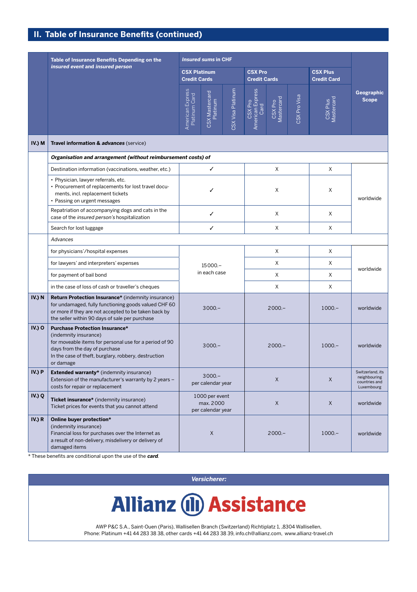## **II. Table of Insurance Benefits (continued)**

|           | Table of Insurance Benefits Depending on the<br>insured event and insured person                                                                                                                                               |                                                  | <b>Insured sums in CHF</b>                 |                   |                                       |                      |                                                                 |                                       |                            |  |
|-----------|--------------------------------------------------------------------------------------------------------------------------------------------------------------------------------------------------------------------------------|--------------------------------------------------|--------------------------------------------|-------------------|---------------------------------------|----------------------|-----------------------------------------------------------------|---------------------------------------|----------------------------|--|
|           |                                                                                                                                                                                                                                |                                                  | <b>CSX Platinum</b><br><b>Credit Cards</b> |                   | <b>CSX Pro</b><br><b>Credit Cards</b> |                      |                                                                 | <b>CSX Plus</b><br><b>Credit Card</b> |                            |  |
|           |                                                                                                                                                                                                                                | American Express<br>Platinum Card                | <b>CSX Mastercard</b><br><b>Platinum</b>   | CSX Visa Platinum | American Express<br>CSX Pro<br>Card   | Mastercard<br>CSXPro | CSX Pro Visa                                                    | CSX Plus<br>Mastercard                | Geographic<br><b>Scope</b> |  |
| IV.) M    | Travel information & advances (service)                                                                                                                                                                                        |                                                  |                                            |                   |                                       |                      |                                                                 |                                       |                            |  |
|           | Organisation and arrangement (without reimbursement costs) of                                                                                                                                                                  |                                                  |                                            |                   |                                       |                      |                                                                 |                                       |                            |  |
|           | Destination information (vaccinations, weather, etc.)                                                                                                                                                                          | ✓                                                |                                            |                   | X                                     |                      |                                                                 | X                                     | worldwide                  |  |
|           | · Physician, lawyer referrals, etc.<br>• Procurement of replacements for lost travel docu-<br>ments, incl. replacement tickets<br>• Passing on urgent messages                                                                 | ✓                                                |                                            | X                 |                                       |                      | X                                                               |                                       |                            |  |
|           | Repatriation of accompanying dogs and cats in the<br>case of the insured person's hospitalization                                                                                                                              | ✓                                                |                                            |                   | X                                     |                      |                                                                 | X                                     |                            |  |
|           | Search for lost luggage                                                                                                                                                                                                        | ✓                                                |                                            | X                 |                                       |                      | X                                                               |                                       |                            |  |
|           | Advances                                                                                                                                                                                                                       |                                                  |                                            |                   |                                       |                      |                                                                 |                                       |                            |  |
|           | for physicians'/hospital expenses                                                                                                                                                                                              |                                                  |                                            | X                 |                                       |                      | X                                                               |                                       |                            |  |
|           | for lawyers' and interpreters' expenses                                                                                                                                                                                        |                                                  | $15000 -$                                  |                   | X                                     |                      | X                                                               | worldwide                             |                            |  |
|           | for payment of bail bond                                                                                                                                                                                                       |                                                  | in each case                               |                   | X                                     |                      | X                                                               |                                       |                            |  |
|           | in the case of loss of cash or traveller's cheques                                                                                                                                                                             |                                                  |                                            | X                 |                                       |                      | X                                                               |                                       |                            |  |
| IV.) N    | Return Protection Insurance* (indemnity insurance)<br>for undamaged, fully functioning goods valued CHF 60<br>or more if they are not accepted to be taken back by<br>the seller within 90 days of sale per purchase           | $3000 -$                                         |                                            | $2000 -$          |                                       | $1000 -$             | worldwide                                                       |                                       |                            |  |
| IV.) O    | <b>Purchase Protection Insurance*</b><br>(indemnity insurance)<br>for moveable items for personal use for a period of 90<br>days from the day of purchase<br>In the case of theft, burglary, robbery, destruction<br>or damage | $3000 -$                                         |                                            | $2000 -$          |                                       | $1000 -$             | worldwide                                                       |                                       |                            |  |
| IV.) P    | <b>Extended warranty*</b> (indemnity insurance)<br>Extension of the manufacturer's warranty by 2 years -<br>costs for repair or replacement                                                                                    | $3000 -$<br>per calendar year                    |                                            | X                 |                                       | $\mathsf{x}$         | Switzerland, its<br>neighbouring<br>countries and<br>Luxembourg |                                       |                            |  |
| $IV.$ ) Q | Ticket insurance* (indemnity insurance)<br>Ticket prices for events that you cannot attend                                                                                                                                     | 1000 per event<br>max. 2000<br>per calendar year |                                            |                   | X                                     |                      | X                                                               | worldwide                             |                            |  |
| $IV.$ ) R | Online buyer protection*<br>(indemnity insurance)<br>Financial loss for purchases over the Internet as<br>a result of non-delivery, misdelivery or delivery of<br>damaged items                                                | $\mathsf X$                                      |                                            | $2000 -$          |                                       | $1000 -$             | worldwide                                                       |                                       |                            |  |

\* These benefits are conditional upon the use of the **card**.

**Versicherer:**

# **Allianz (II) Assistance**

AWP P&C S.A., Saint-Ouen (Paris), Wallisellen Branch (Switzerland) Richtiplatz 1, ,8304 Wallisellen, Phone: Platinum +41 44 283 38 38, other cards +41 44 283 38 39, info.ch@allianz.com, www.allianz-travel.ch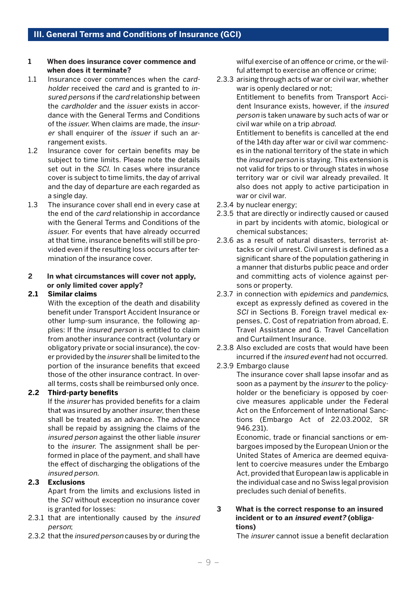## **1 When does insurance cover commence and when does it terminate?**

- 1.1 Insurance cover commences when the cardholder received the card and is granted to insured persons if the card relationship between the cardholder and the issuer exists in accordance with the General Terms and Conditions of the issuer. When claims are made, the insurer shall enquirer of the issuer if such an arrangement exists.
- 1.2 Insurance cover for certain benefits may be subject to time limits. Please note the details set out in the SCI. In cases where insurance cover is subject to time limits, the day of arrival and the day of departure are each regarded as a single day.
- 1.3 The insurance cover shall end in every case at the end of the card relationship in accordance with the General Terms and Conditions of the issuer. For events that have already occurred at that time, insurance benefits will still be provided even if the resulting loss occurs after termination of the insurance cover.

## **2 In what circumstances will cover not apply, or only limited cover apply?**

## **2.1 Similar claims**

 With the exception of the death and disability benefit under Transport Accident Insurance or other lump-sum insurance, the following applies: If the insured person is entitled to claim from another insurance contract (voluntary or obligatory private or social insurance), the cover provided by the insurer shall be limited to the portion of the insurance benefits that exceed those of the other insurance contract. In overall terms, costs shall be reimbursed only once.

## **2.2 Third-party benefits**

 If the insurer has provided benefits for a claim that was insured by another insurer, then these shall be treated as an advance. The advance shall be repaid by assigning the claims of the insured person against the other liable insurer to the insurer. The assignment shall be performed in place of the payment, and shall have the effect of discharging the obligations of the insured person.

## **2.3 Exclusions**

 Apart from the limits and exclusions listed in the SCI without exception no insurance cover is granted for losses:

- 2.3.1 that are intentionally caused by the insured person;
- 2.3.2 that the insured person causes by or during the

wilful exercise of an offence or crime, or the wilful attempt to exercise an offence or crime;

2.3.3 arising through acts of war or civil war, whether war is openly declared or not;

> Entitlement to benefits from Transport Accident Insurance exists, however, if the insured person is taken unaware by such acts of war or civil war while on a trip abroad.

> Entitlement to benefits is cancelled at the end of the 14th day after war or civil war commences in the national territory of the state in which the insured person is staying. This extension is not valid for trips to or through states in whose territory war or civil war already prevailed. It also does not apply to active participation in war or civil war.

- 2.3.4 by nuclear energy;
- 2.3.5 that are directly or indirectly caused or caused in part by incidents with atomic, biological or chemical substances;
- 2.3.6 as a result of natural disasters, terrorist attacks or civil unrest. Civil unrest is defined as a significant share of the population gathering in a manner that disturbs public peace and order and committing acts of violence against persons or property.
- 2.3.7 in connection with epidemics and pandemics, except as expressly defined as covered in the SCI in Sections B. Foreign travel medical expenses, C. Cost of repatriation from abroad, E. Travel Assistance and G. Travel Cancellation and Curtailment Insurance.
- 2.3.8 Also excluded are costs that would have been incurred if the insured event had not occurred.
- 2.3.9 Embargo clause

 The insurance cover shall lapse insofar and as soon as a payment by the insurer to the policyholder or the beneficiary is opposed by coercive measures applicable under the Federal Act on the Enforcement of International Sanctions (Embargo Act of 22.03.2002, SR 946.231).

 Economic, trade or financial sanctions or embargoes imposed by the European Union or the United States of America are deemed equivalent to coercive measures under the Embargo Act, provided that European law is applicable in the individual case and no Swiss legal provision precludes such denial of benefits.

## **3 What is the correct response to an insured incident or to an insured event? (obligations)**

The insurer cannot issue a benefit declaration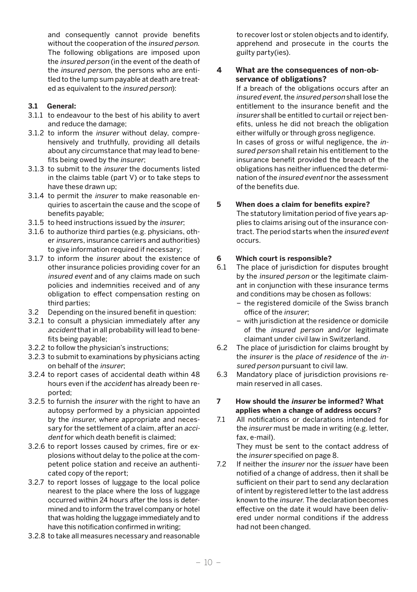and consequently cannot provide benefits without the cooperation of the insured person. The following obligations are imposed upon the insured person (in the event of the death of the insured person, the persons who are entitled to the lump sum payable at death are treated as equivalent to the insured person):

## **3.1 General:**

- 3.1.1 to endeavour to the best of his ability to avert and reduce the damage;
- 3.1.2 to inform the insurer without delay, comprehensively and truthfully, providing all details about any circumstance that may lead to benefits being owed by the insurer;
- 3.1.3 to submit to the insurer the documents listed in the claims table (part V) or to take steps to have these drawn up;
- 3.1.4 to permit the insurer to make reasonable enquiries to ascertain the cause and the scope of benefits payable;
- 3.1.5 to heed instructions issued by the insurer;
- 3.1.6 to authorize third parties (e.g. physicians, other insurers, insurance carriers and authorities) to give information required if necessary;
- 3.1.7 to inform the insurer about the existence of other insurance policies providing cover for an insured event and of any claims made on such policies and indemnities received and of any obligation to effect compensation resting on third parties;
- 3.2 Depending on the insured benefit in question:
- 3.2.1 to consult a physician immediately after any accident that in all probability will lead to benefits being payable;
- 3.2.2 to follow the physician's instructions;
- 3.2.3 to submit to examinations by physicians acting on behalf of the insurer;
- 3.2.4 to report cases of accidental death within 48 hours even if the accident has already been reported;
- 3.2.5 to furnish the insurer with the right to have an autopsy performed by a physician appointed by the insurer, where appropriate and necessary for the settlement of a claim, after an accident for which death benefit is claimed;
- 3.2.6 to report losses caused by crimes, fire or explosions without delay to the police at the competent police station and receive an authenticated copy of the report;
- 3.2.7 to report losses of luggage to the local police nearest to the place where the loss of luggage occurred within 24 hours after the loss is determined and to inform the travel company or hotel that was holding the luggage immediately and to have this notification confirmed in writing;
- 3.2.8 to take all measures necessary and reasonable

to recover lost or stolen objects and to identify, apprehend and prosecute in the courts the guilty party(ies).

## **4 What are the consequences of non-observance of obligations?**

 If a breach of the obligations occurs after an insured event, the insured person shall lose the entitlement to the insurance benefit and the insurer shall be entitled to curtail or reject benefits, unless he did not breach the obligation either wilfully or through gross negligence. In cases of gross or wilful negligence, the insured person shall retain his entitlement to the insurance benefit provided the breach of the obligations has neither influenced the determination of the insured event nor the assessment of the benefits due.

## **5 When does a claim for benefits expire?**

 The statutory limitation period of five years applies to claims arising out of the insurance contract. The period starts when the insured event occurs.

## **6** Which court is responsible?<br>**61** The place of jurisdiction for a

- The place of jurisdiction for disputes brought by the insured person or the legitimate claimant in conjunction with these insurance terms and conditions may be chosen as follows:
	- the registered domicile of the Swiss branch office of the insurer;
	- with jurisdiction at the residence or domicile of the insured person and/or legitimate claimant under civil law in Switzerland.
- 6.2 The place of jurisdiction for claims brought by the insurer is the place of residence of the insured person pursuant to civil law.
- 6.3 Mandatory place of jurisdiction provisions remain reserved in all cases.

## **7 How should the insurer be informed? What applies when a change of address occurs?**

7.1 All notifications or declarations intended for the insurer must be made in writing (e.g. letter, fax, e-mail).

 They must be sent to the contact address of the insurer specified on page 8.

7.2 If neither the *insurer* nor the *issuer* have been notified of a change of address, then it shall be sufficient on their part to send any declaration of intent by registered letter to the last address known to the insurer. The declaration becomes effective on the date it would have been delivered under normal conditions if the address had not been changed.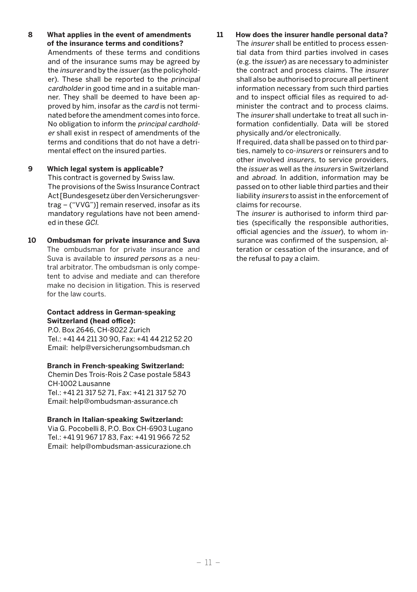- **8 What applies in the event of amendments of the insurance terms and conditions?**  Amendments of these terms and conditions and of the insurance sums may be agreed by the insurer and by the issuer (as the policyholder). These shall be reported to the principal cardholder in good time and in a suitable manner. They shall be deemed to have been approved by him, insofar as the card is not terminated before the amendment comes into force. No obligation to inform the principal cardholder shall exist in respect of amendments of the terms and conditions that do not have a detrimental effect on the insured parties.
- **9 Which legal system is applicable?** This contract is governed by Swiss law. The provisions of the Swiss Insurance Contract Act [Bundesgesetz über den Versicherungsvertrag – ("VVG")] remain reserved, insofar as its mandatory regulations have not been amended in these GCI.
- **10 Ombudsman for private insurance and Suva**  The ombudsman for private insurance and Suva is available to insured persons as a neutral arbitrator. The ombudsman is only competent to advise and mediate and can therefore make no decision in litigation. This is reserved for the law courts.

## **Contact address in German-speaking Switzerland (head office):**

P.O. Box 2646, CH-8022 Zurich Tel.: +41 44 211 30 90, Fax: +41 44 212 52 20 Email: [help@versicherungsombudsman.ch](mailto:help@versicherungsombudsman.ch)

## **Branch in French-speaking Switzerland:**

Chemin Des Trois-Rois 2 Case postale 5843 CH-1002 Lausanne Tel.: +41 21 317 52 71, Fax: +41 21 317 52 70 Email: [help@ombudsman-assurance.ch](mailto:help@ombudsman-assurance.ch)

## **Branch in Italian-speaking Switzerland:**

Via G. Pocobelli 8, P.O. Box CH-6903 Lugano Tel.: +41 91 967 17 83, Fax: +41 91 966 72 52 Email: [help@ombudsman-assicurazione.ch](mailto:help@ombudsman-assicurazione.ch)

**11 How does the insurer handle personal data?**  The insurer shall be entitled to process essential data from third parties involved in cases (e.g. the issuer) as are necessary to administer the contract and process claims. The insurer shall also be authorised to procure all pertinent information necessary from such third parties and to inspect official files as required to administer the contract and to process claims. The insurer shall undertake to treat all such information confidentially. Data will be stored physically and/or electronically.

 If required, data shall be passed on to third parties, namely to co-insurers or reinsurers and to other involved insurers, to service providers, the issuer as well as the insurers in Switzerland and abroad. In addition, information may be passed on to other liable third parties and their liability insurers to assist in the enforcement of claims for recourse.

 The insurer is authorised to inform third parties (specifically the responsible authorities, official agencies and the issuer), to whom insurance was confirmed of the suspension, alteration or cessation of the insurance, and of the refusal to pay a claim.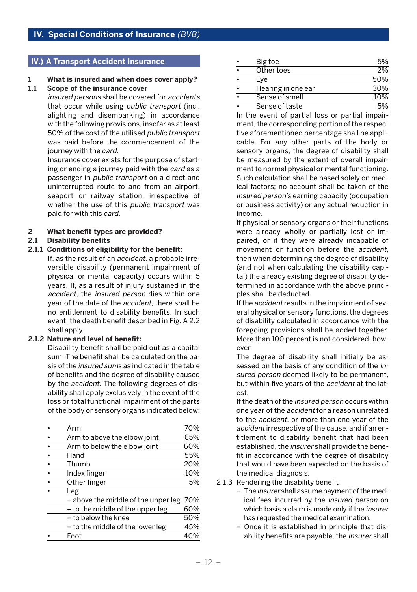#### **IV.) A Transport Accident Insurance**

## **1 What is insured and when does cover apply?**

#### **1.1 Scope of the insurance cover**

 insured persons shall be covered for accidents that occur while using public transport (incl. alighting and disembarking) in accordance with the following provisions, insofar as at least 50% of the cost of the utilised public transport was paid before the commencement of the journey with the card.

 Insurance cover exists for the purpose of starting or ending a journey paid with the card as a passenger in public transport on a direct and uninterrupted route to and from an airport, seaport or railway station, irrespective of whether the use of this public transport was paid for with this card.

## **2 What benefit types are provided?**

#### **2.1 Disability benefits**

#### **2.1.1 Conditions of eligibility for the benefit:**

 If, as the result of an accident, a probable irreversible disability (permanent impairment of physical or mental capacity) occurs within 5 years. If, as a result of injury sustained in the accident, the insured person dies within one year of the date of the accident, there shall be no entitlement to disability benefits. In such event, the death benefit described in Fig. A 2.2 shall apply.

## **2.1.2 Nature and level of benefit:**

 Disability benefit shall be paid out as a capital sum. The benefit shall be calculated on the basis of the insured sums as indicated in the table of benefits and the degree of disability caused by the accident. The following degrees of disability shall apply exclusively in the event of the loss or total functional impairment of the parts of the body or sensory organs indicated below:

| Arm                                 | 70% |
|-------------------------------------|-----|
| Arm to above the elbow joint        | 65% |
| Arm to below the elbow joint        | 60% |
| Hand                                | 55% |
| Thumb                               | 20% |
| Index finger                        | 10% |
| Other finger                        | 5%  |
| Leg                                 |     |
| - above the middle of the upper leg | 70% |
| - to the middle of the upper leg    | 60% |
| - to below the knee                 | 50% |
| - to the middle of the lower leg    | 45% |
| Foot                                | 40% |
|                                     |     |

| Big toe            | 5%  |
|--------------------|-----|
| Other toes         | 2%  |
| Eve                | 50% |
| Hearing in one ear | 30% |
| Sense of smell     | 10% |
| Sense of taste     | 5%  |

In the event of partial loss or partial impairment, the corresponding portion of the respective aforementioned percentage shall be applicable. For any other parts of the body or sensory organs, the degree of disability shall be measured by the extent of overall impairment to normal physical or mental functioning. Such calculation shall be based solely on medical factors; no account shall be taken of the insured person's earning capacity (occupation or business activity) or any actual reduction in income.

If physical or sensory organs or their functions were already wholly or partially lost or impaired, or if they were already incapable of movement or function before the accident, then when determining the degree of disability (and not when calculating the disability capital) the already existing degree of disability determined in accordance with the above principles shall be deducted.

If the accident results in the impairment of several physical or sensory functions, the degrees of disability calculated in accordance with the foregoing provisions shall be added together. More than 100 percent is not considered, however.

The degree of disability shall initially be assessed on the basis of any condition of the insured person deemed likely to be permanent. but within five years of the accident at the latest.

If the death of the insured person occurs within one year of the accident for a reason unrelated to the accident, or more than one year of the accident irrespective of the cause, and if an entitlement to disability benefit that had been established, the insurer shall provide the benefit in accordance with the degree of disability that would have been expected on the basis of the medical diagnosis.

## 2.1.3 Rendering the disability benefit

- The insurer shall assume payment of the medical fees incurred by the insured person on which basis a claim is made only if the insurer has requested the medical examination.
- Once it is established in principle that disability benefits are payable, the insurer shall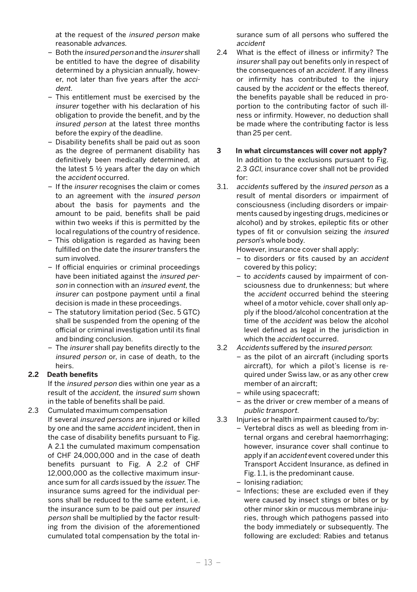at the request of the insured person make reasonable advances.

- Both the insured person and the insurer shall be entitled to have the degree of disability determined by a physician annually, however, not later than five years after the accident.
- This entitlement must be exercised by the insurer together with his declaration of his obligation to provide the benefit, and by the insured person at the latest three months before the expiry of the deadline.
- Disability benefits shall be paid out as soon as the degree of permanent disability has definitively been medically determined, at the latest 5 ½ years after the day on which the accident occurred.
- If the insurer recognises the claim or comes to an agreement with the insured person about the basis for payments and the amount to be paid, benefits shall be paid within two weeks if this is permitted by the local regulations of the country of residence.
- This obligation is regarded as having been fulfilled on the date the insurer transfers the sum involved.
- If official enquiries or criminal proceedings have been initiated against the insured person in connection with an insured event, the insurer can postpone payment until a final decision is made in these proceedings.
- The statutory limitation period (Sec. 5 GTC) shall be suspended from the opening of the official or criminal investigation until its final and binding conclusion.
- The insurer shall pay benefits directly to the insured person or, in case of death, to the heirs.

## **2.2 Death benefits**

If the insured person dies within one year as a result of the accident, the insured sum shown in the table of benefits shall be paid.

2.3 Cumulated maximum compensation If several insured persons are injured or killed by one and the same accident incident, then in the case of disability benefits pursuant to Fig. A 2.1 the cumulated maximum compensation of CHF 24,000,000 and in the case of death benefits pursuant to Fig. A 2.2 of CHF 12,000,000 as the collective maximum insurance sum for all cards issued by the issuer. The insurance sums agreed for the individual persons shall be reduced to the same extent, i.e. the insurance sum to be paid out per insured person shall be multiplied by the factor resulting from the division of the aforementioned cumulated total compensation by the total insurance sum of all persons who suffered the accident

- 2.4 What is the effect of illness or infirmity? The insurer shall pay out benefits only in respect of the consequences of an accident. If any illness or infirmity has contributed to the injury caused by the accident or the effects thereof, the benefits payable shall be reduced in proportion to the contributing factor of such illness or infirmity. However, no deduction shall be made where the contributing factor is less than 25 per cent.
- **3 In what circumstances will cover not apply?** In addition to the exclusions pursuant to Fig. 2.3 GCI, insurance cover shall not be provided for:
- 3.1. accidents suffered by the insured person as a result of mental disorders or impairment of consciousness (including disorders or impairments caused by ingesting drugs, medicines or alcohol) and by strokes, epileptic fits or other types of fit or convulsion seizing the insured person's whole body.

However, insurance cover shall apply:

- to disorders or fits caused by an accident covered by this policy;
- to accidents caused by impairment of consciousness due to drunkenness; but where the accident occurred behind the steering wheel of a motor vehicle, cover shall only apply if the blood/alcohol concentration at the time of the accident was below the alcohol level defined as legal in the jurisdiction in which the accident occurred.
- 3.2 Accidents suffered by the insured person:
	- as the pilot of an aircraft (including sports aircraft), for which a pilot's license is required under Swiss law, or as any other crew member of an aircraft;
	- while using spacecraft;
	- as the driver or crew member of a means of public transport.
- 3.3 Injuries or health impairment caused to/by:
	- Vertebral discs as well as bleeding from internal organs and cerebral haemorrhaging; however, insurance cover shall continue to apply if an accident event covered under this Transport Accident Insurance, as defined in Fig. 1.1, is the predominant cause.
		- Ionising radiation;
		- Infections; these are excluded even if they were caused by insect stings or bites or by other minor skin or mucous membrane injuries, through which pathogens passed into the body immediately or subsequently. The following are excluded: Rabies and tetanus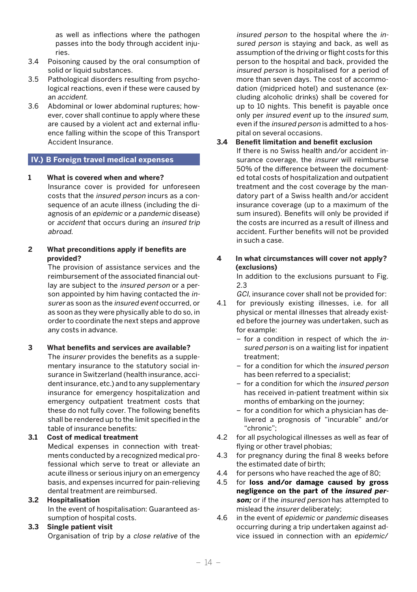as well as inflections where the pathogen passes into the body through accident injuries.

- 3.4 Poisoning caused by the oral consumption of solid or liquid substances.
- 3.5 Pathological disorders resulting from psychological reactions, even if these were caused by an accident.
- 3.6 Abdominal or lower abdominal ruptures; however, cover shall continue to apply where these are caused by a violent act and external influence falling within the scope of this Transport Accident Insurance.

## **IV.) B Foreign travel medical expenses**

**1 What is covered when and where?**

 Insurance cover is provided for unforeseen costs that the insured person incurs as a consequence of an acute illness (including the diagnosis of an epidemic or a pandemic disease) or accident that occurs during an insured trip abroad.

**2 What preconditions apply if benefits are provided?**

 The provision of assistance services and the reimbursement of the associated financial outlay are subject to the insured person or a person appointed by him having contacted the insurer as soon as the insured event occurred, or as soon as they were physically able to do so, in order to coordinate the next steps and approve any costs in advance.

## **3 What benefits and services are available?**

 The insurer provides the benefits as a supplementary insurance to the statutory social insurance in Switzerland (health insurance, accident insurance, etc.) and to any supplementary insurance for emergency hospitalization and emergency outpatient treatment costs that these do not fully cover. The following benefits shall be rendered up to the limit specified in the table of insurance benefits:

## **3.1 Cost of medical treatment**

 Medical expenses in connection with treatments conducted by a recognized medical professional which serve to treat or alleviate an acute illness or serious injury on an emergency basis, and expenses incurred for pain-relieving dental treatment are reimbursed.

## **3.2 Hospitalisation**

 In the event of hospitalisation: Guaranteed assumption of hospital costs.

## **3.3 Single patient visit**

Organisation of trip by a close relative of the

insured person to the hospital where the insured person is staying and back, as well as assumption of the driving or flight costs for this person to the hospital and back, provided the insured person is hospitalised for a period of more than seven days. The cost of accommodation (midpriced hotel) and sustenance (excluding alcoholic drinks) shall be covered for up to 10 nights. This benefit is payable once only per insured event up to the insured sum, even if the insured person is admitted to a hospital on several occasions.

## **3.4 Benefit limitation and benefit exclusion**

 If there is no Swiss health and/or accident insurance coverage, the insurer will reimburse 50% of the difference between the documented total costs of hospitalization and outpatient treatment and the cost coverage by the mandatory part of a Swiss health and/or accident insurance coverage (up to a maximum of the sum insured). Benefits will only be provided if the costs are incurred as a result of illness and accident. Further benefits will not be provided in such a case.

**4 In what circumstances will cover not apply? (exclusions)**

 In addition to the exclusions pursuant to Fig. 2.3

GCI, insurance cover shall not be provided for:

- 4.1 for previously existing illnesses, i.e. for all physical or mental illnesses that already existed before the journey was undertaken, such as for example:
	- for a condition in respect of which the insured person is on a waiting list for inpatient treatment;
	- for a condition for which the insured person has been referred to a specialist;
	- for a condition for which the insured person has received in-patient treatment within six months of embarking on the journey;
	- for a condition for which a physician has delivered a prognosis of "incurable" and/or "chronic";
- 4.2 for all psychological illnesses as well as fear of flying or other travel phobias;
- 4.3 for pregnancy during the final 8 weeks before the estimated date of birth;
- 4.4 for persons who have reached the age of 80;
- 4.5 for **loss and/or damage caused by gross negligence on the part of the insured person;** or if the insured person has attempted to mislead the insurer deliberately;
- 4.6 in the event of epidemic or pandemic diseases occurring during a trip undertaken against advice issued in connection with an epidemic/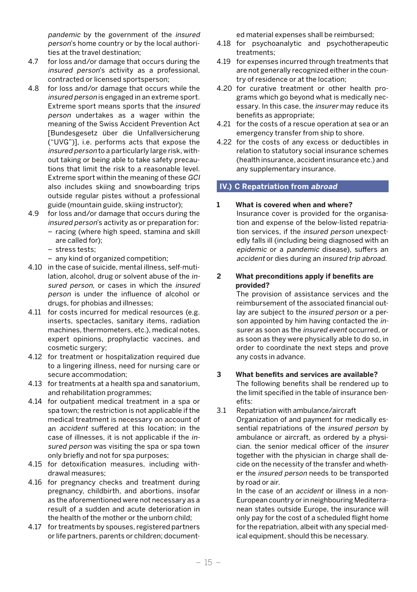pandemic by the government of the insured person's home country or by the local authorities at the travel destination;

- 4.7 for loss and/or damage that occurs during the insured person's activity as a professional, contracted or licensed sportsperson;
- 4.8 for loss and/or damage that occurs while the insured person is engaged in an extreme sport. Extreme sport means sports that the insured person undertakes as a wager within the meaning of the Swiss Accident Prevention Act [Bundesgesetz über die Unfallversicherung ("UVG")], i.e. performs acts that expose the insured person to a particularly large risk, without taking or being able to take safety precautions that limit the risk to a reasonable level. Extreme sport within the meaning of these GCI also includes skiing and snowboarding trips outside regular pistes without a professional guide (mountain guide, skiing instructor);
- 4.9 for loss and/or damage that occurs during the insured person's activity as or preparation for: – racing (where high speed, stamina and skill
	- are called for);
	- stress tests;
	- any kind of organized competition;
- 4.10 in the case of suicide, mental illness, self-mutilation, alcohol, drug or solvent abuse of the insured person, or cases in which the insured person is under the influence of alcohol or drugs, for phobias and illnesses;
- 4.11 for costs incurred for medical resources (e.g. inserts, spectacles, sanitary items, radiation machines, thermometers, etc.), medical notes, expert opinions, prophylactic vaccines, and cosmetic surgery;
- 4.12 for treatment or hospitalization required due to a lingering illness, need for nursing care or secure accommodation;
- 4.13 for treatments at a health spa and sanatorium, and rehabilitation programmes;
- 4.14 for outpatient medical treatment in a spa or spa town; the restriction is not applicable if the medical treatment is necessary on account of an accident suffered at this location; in the case of illnesses, it is not applicable if the insured person was visiting the spa or spa town only briefly and not for spa purposes;
- 4.15 for detoxification measures, including withdrawal measures;
- 4.16 for pregnancy checks and treatment during pregnancy, childbirth, and abortions, insofar as the aforementioned were not necessary as a result of a sudden and acute deterioration in the health of the mother or the unborn child;
- 4.17 for treatments by spouses, registered partners or life partners, parents or children; document-

ed material expenses shall be reimbursed;

- 4.18 for psychoanalytic and psychotherapeutic treatments;
- 4.19 for expenses incurred through treatments that are not generally recognized either in the country of residence or at the location;
- 4.20 for curative treatment or other health programs which go beyond what is medically necessary. In this case, the insurer may reduce its benefits as appropriate;
- 4.21 for the costs of a rescue operation at sea or an emergency transfer from ship to shore.
- 4.22 for the costs of any excess or deductibles in relation to statutory social insurance schemes (health insurance, accident insurance etc.) and any supplementary insurance.

## **IV.) C Repatriation from** *abroad*

## **1 What is covered when and where?**

 Insurance cover is provided for the organisation and expense of the below-listed repatriation services, if the insured person unexpectedly falls ill (including being diagnosed with an epidemic or a pandemic disease), suffers an accident or dies during an insured trip abroad.

## **2 What preconditions apply if benefits are provided?**

 The provision of assistance services and the reimbursement of the associated financial outlay are subject to the insured person or a person appointed by him having contacted the insurer as soon as the insured event occurred, or as soon as they were physically able to do so, in order to coordinate the next steps and prove any costs in advance.

## **3 What benefits and services are available?**

 The following benefits shall be rendered up to the limit specified in the table of insurance benefits:

3.1 Repatriation with ambulance/aircraft Organization of and payment for medically essential repatriations of the insured person by ambulance or aircraft, as ordered by a physician. the senior medical officer of the insurer together with the physician in charge shall decide on the necessity of the transfer and whether the insured person needs to be transported by road or air.

 In the case of an accident or illness in a non-European country or in neighbouring Mediterranean states outside Europe, the insurance will only pay for the cost of a scheduled flight home for the repatriation, albeit with any special medical equipment, should this be necessary.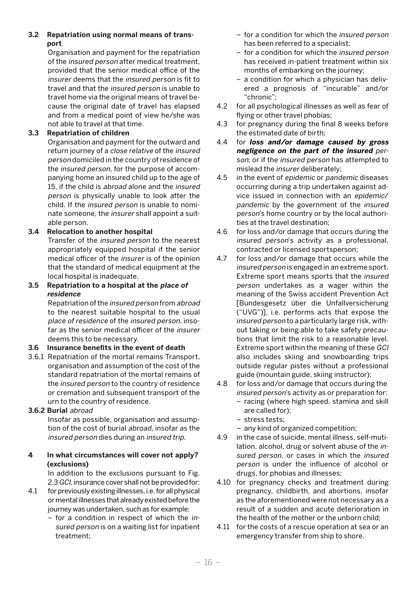## **3.2 Repatriation using normal means of transport**

 Organisation and payment for the repatriation of the insured person after medical treatment, provided that the senior medical office of the insurer deems that the insured person is fit to travel and that the insured person is unable to travel home via the original means of travel because the original date of travel has elapsed and from a medical point of view he/she was not able to travel at that time.

## **3.3 Repatriation of children**

 Organisation and payment for the outward and return journey of a close relative of the insured person domiciled in the country of residence of the insured person, for the purpose of accompanying home an insured child up to the age of 15, if the child is abroad alone and the insured person is physically unable to look after the child. If the insured person is unable to nominate someone, the insurer shall appoint a suitable person.

## **3.4 Relocation to another hospital**

 Transfer of the insured person to the nearest appropriately equipped hospital if the senior medical officer of the insurer is of the opinion that the standard of medical equipment at the local hospital is inadequate.

**3.5 Repatriation to a hospital at the place of residence**

 Repatriation of the insured person from abroad to the nearest suitable hospital to the usual place of residence of the insured person, insofar as the senior medical officer of the insurer deems this to be necessary.

## **3.6 Insurance benefits in the event of death**

3.6.1 Repatriation of the mortal remains Transport, organisation and assumption of the cost of the standard repatriation of the mortal remains of the insured person to the country of residence or cremation and subsequent transport of the urn to the country of residence.

## **3.6.2 Burial** abroad

 Insofar as possible, organisation and assumption of the cost of burial abroad, insofar as the insured person dies during an insured trip.

## **4 In what circumstances will cover not apply? (exclusions)**

 In addition to the exclusions pursuant to Fig. 2.3 GCI, insurance cover shall not be provided for:

- 4.1 for previously existing illnesses, i.e. for all physical or mental illnesses that already existed before the journey was undertaken, such as for example:
	- for a condition in respect of which the insured person is on a waiting list for inpatient treatment;
- for a condition for which the insured person has been referred to a specialist;
- for a condition for which the insured person has received in-patient treatment within six months of embarking on the journey;
- a condition for which a physician has delivered a prognosis of "incurable" and/or "chronic";
- 4.2 for all psychological illnesses as well as fear of flying or other travel phobias;
- 4.3 for pregnancy during the final 8 weeks before the estimated date of birth;
- 4.4 for **loss and/or damage caused by gross negligence on the part of the insured** person; or if the insured person has attempted to mislead the insurer deliberately;
- 4.5 in the event of epidemic or pandemic diseases occurring during a trip undertaken against advice issued in connection with an epidemic/ pandemic by the government of the insured person's home country or by the local authorities at the travel destination;
- 4.6 for loss and/or damage that occurs during the insured person's activity as a professional, contracted or licensed sportsperson;
- 4.7 for loss and/or damage that occurs while the insured person is engaged in an extreme sport. Extreme sport means sports that the insured person undertakes as a wager within the meaning of the Swiss accident Prevention Act [Bundesgesetz über die Unfallversicherung ("UVG")], i.e. performs acts that expose the insured person to a particularly large risk, without taking or being able to take safety precautions that limit the risk to a reasonable level. Extreme sport within the meaning of these GCI also includes skiing and snowboarding trips outside regular pistes without a professional guide (mountain guide, skiing instructor);
- 4.8 for loss and/or damage that occurs during the insured person's activity as or preparation for:
	- racing (where high speed, stamina and skill are called for);
	- stress tests;
	- any kind of organized competition;
- 4.9 in the case of suicide, mental illness, self-mutilation, alcohol, drug or solvent abuse of the insured person, or cases in which the insured person is under the influence of alcohol or drugs, for phobias and illnesses;
- 4.10 for pregnancy checks and treatment during pregnancy, childbirth, and abortions, insofar as the aforementioned were not necessary as a result of a sudden and acute deterioration in the health of the mother or the unborn child;
- 4.11 for the costs of a rescue operation at sea or an emergency transfer from ship to shore.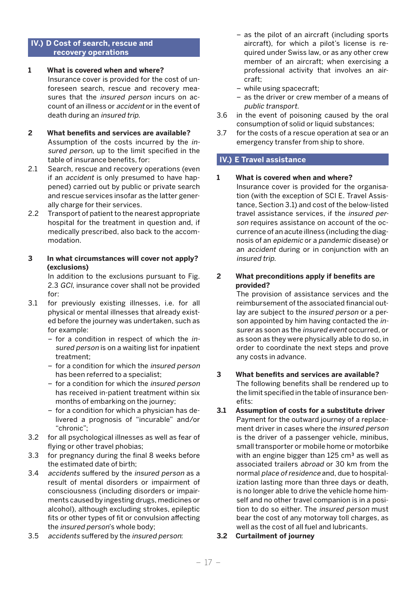## **IV.) D Cost of search, rescue and recovery operations**

## **1 What is covered when and where?**

 Insurance cover is provided for the cost of unforeseen search, rescue and recovery measures that the insured person incurs on account of an illness or accident or in the event of death during an insured trip.

## **2 What benefits and services are available?**

Assumption of the costs incurred by the insured person, up to the limit specified in the table of insurance benefits, for:

- 2.1 Search, rescue and recovery operations (even if an accident is only presumed to have happened) carried out by public or private search and rescue services insofar as the latter generally charge for their services.
- 2.2 Transport of patient to the nearest appropriate hospital for the treatment in question and, if medically prescribed, also back to the accommodation.

## **3 In what circumstances will cover not apply? (exclusions)**

 In addition to the exclusions pursuant to Fig. 2.3 GCI, insurance cover shall not be provided for:

- 3.1 for previously existing illnesses, i.e. for all physical or mental illnesses that already existed before the journey was undertaken, such as for example:
	- for a condition in respect of which the insured person is on a waiting list for inpatient treatment;
	- for a condition for which the insured person has been referred to a specialist;
	- for a condition for which the insured person has received in-patient treatment within six months of embarking on the journey;
	- for a condition for which a physician has delivered a prognosis of "incurable" and/or "chronic";
- 3.2 for all psychological illnesses as well as fear of flying or other travel phobias;
- 3.3 for pregnancy during the final 8 weeks before the estimated date of birth;
- 3.4 accidents suffered by the insured person as a result of mental disorders or impairment of consciousness (including disorders or impairments caused by ingesting drugs, medicines or alcohol), although excluding strokes, epileptic fits or other types of fit or convulsion affecting the insured person's whole body;
- 3.5 accidents suffered by the insured person:
- as the pilot of an aircraft (including sports aircraft), for which a pilot's license is required under Swiss law, or as any other crew member of an aircraft; when exercising a professional activity that involves an aircraft;
- while using spacecraft;
- as the driver or crew member of a means of public transport.
- 3.6 in the event of poisoning caused by the oral consumption of solid or liquid substances;
- 3.7 for the costs of a rescue operation at sea or an emergency transfer from ship to shore.

## **IV.) E Travel assistance**

## **1 What is covered when and where?**

 Insurance cover is provided for the organisation (with the exception of SCI E. Travel Assistance, Section 3.1) and cost of the below-listed travel assistance services, if the insured person requires assistance on account of the occurrence of an acute illness (including the diagnosis of an epidemic or a pandemic disease) or an accident during or in conjunction with an insured trip.

## **2 What preconditions apply if benefits are provided?**

 The provision of assistance services and the reimbursement of the associated financial outlay are subject to the insured person or a person appointed by him having contacted the insurer as soon as the insured event occurred, or as soon as they were physically able to do so, in order to coordinate the next steps and prove any costs in advance.

## **3 What benefits and services are available?** The following benefits shall be rendered up to the limit specified in the table of insurance ben-

- efits: **3.1 Assumption of costs for a substitute driver** Payment for the outward journey of a replacement driver in cases where the insured person is the driver of a passenger vehicle, minibus, small transporter or mobile home or motorbike with an engine bigger than  $125 \text{ cm}^3$  as well as associated trailers abroad or 30 km from the normal place of residence and, due to hospitalization lasting more than three days or death, is no longer able to drive the vehicle home himself and no other travel companion is in a position to do so either. The insured person must bear the cost of any motorway toll charges, as well as the cost of all fuel and lubricants.
- **3.2 Curtailment of journey**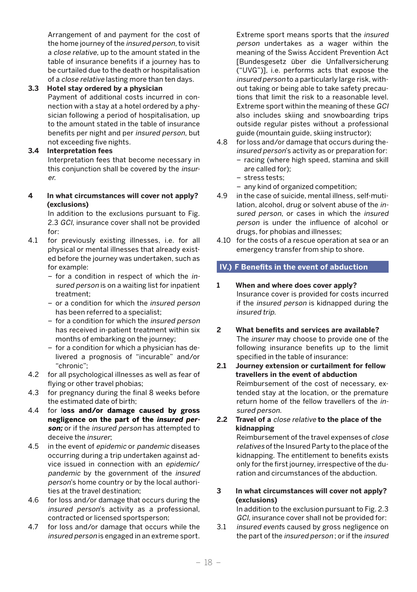Arrangement of and payment for the cost of the home journey of the insured person, to visit a close relative, up to the amount stated in the table of insurance benefits if a journey has to be curtailed due to the death or hospitalisation of a close relative lasting more than ten days.

**3.3 Hotel stay ordered by a physician**

 Payment of additional costs incurred in connection with a stay at a hotel ordered by a physician following a period of hospitalisation, up to the amount stated in the table of insurance benefits per night and per insured person, but not exceeding five nights.

## **3.4 Interpretation fees**

 Interpretation fees that become necessary in this conjunction shall be covered by the insurer.

**4 In what circumstances will cover not apply? (exclusions)**

> In addition to the exclusions pursuant to Fig. 2.3 GCI, insurance cover shall not be provided for:

- 4.1 for previously existing illnesses, i.e. for all physical or mental illnesses that already existed before the journey was undertaken, such as for example:
	- for a condition in respect of which the insured person is on a waiting list for inpatient treatment;
	- or a condition for which the insured person has been referred to a specialist;
	- for a condition for which the insured person has received in-patient treatment within six months of embarking on the journey;
	- for a condition for which a physician has delivered a prognosis of "incurable" and/or "chronic";
- 4.2 for all psychological illnesses as well as fear of flying or other travel phobias;
- 4.3 for pregnancy during the final 8 weeks before the estimated date of birth;
- 4.4 for l**oss and/or damage caused by gross negligence on the part of the insured person;** or if the insured person has attempted to deceive the insurer;
- 4.5 in the event of epidemic or pandemic diseases occurring during a trip undertaken against advice issued in connection with an epidemic/ pandemic by the government of the insured person's home country or by the local authorities at the travel destination;
- 4.6 for loss and/or damage that occurs during the insured person's activity as a professional, contracted or licensed sportsperson;
- 4.7 for loss and/or damage that occurs while the insured person is engaged in an extreme sport.

Extreme sport means sports that the insured person undertakes as a wager within the meaning of the Swiss Accident Prevention Act [Bundesgesetz über die Unfallversicherung ("UVG")], i.e. performs acts that expose the insured person to a particularly large risk, without taking or being able to take safety precautions that limit the risk to a reasonable level. Extreme sport within the meaning of these GCI also includes skiing and snowboarding trips outside regular pistes without a professional guide (mountain guide, skiing instructor);

- 4.8 for loss and/or damage that occurs during theinsured person's activity as or preparation for:
	- racing (where high speed, stamina and skill are called for);
	- stress tests;
	- any kind of organized competition;
- 4.9 in the case of suicide, mental illness, self-mutilation, alcohol, drug or solvent abuse of the insured person, or cases in which the insured person is under the influence of alcohol or drugs, for phobias and illnesses;
- 4.10 for the costs of a rescue operation at sea or an emergency transfer from ship to shore.

## **IV.) F Benefits in the event of abduction**

- **1 When and where does cover apply?**  Insurance cover is provided for costs incurred if the insured person is kidnapped during the insured trip.
- **2 What benefits and services are available?**  The insurer may choose to provide one of the following insurance benefits up to the limit specified in the table of insurance:
- **2.1 Journey extension or curtailment for fellow travellers in the event of abduction**  Reimbursement of the cost of necessary, extended stay at the location, or the premature return home of the fellow travellers of the insured person.
- **2.2 Travel of a** close relative **to the place of the kidnapping**

 Reimbursement of the travel expenses of close relatives of the Insured Party to the place of the kidnapping. The entitlement to benefits exists only for the first journey, irrespective of the duration and circumstances of the abduction.

## **3 In what circumstances will cover not apply? (exclusions)**

 In addition to the exclusion pursuant to Fig. 2.3 GCI, insurance cover shall not be provided for:

3.1 insured events caused by gross negligence on the part of the insured person ; or if the insured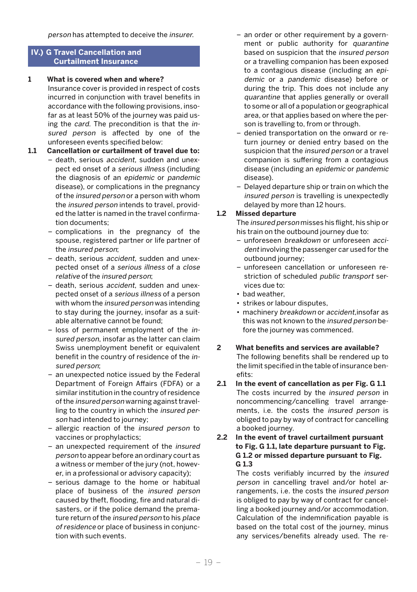person has attempted to deceive the insurer.

## **IV.) G Travel Cancellation and Curtailment Insurance**

**1 What is covered when and where?**

 Insurance cover is provided in respect of costs incurred in conjunction with travel benefits in accordance with the following provisions, insofar as at least 50% of the journey was paid using the card. The precondition is that the insured person is affected by one of the unforeseen events specified below:

## **1.1 Cancellation or curtailment of travel due to:**

- death, serious accident, sudden and unexpect ed onset of a serious illness (including the diagnosis of an epidemic or pandemic disease), or complications in the pregnancy of the insured person or a person with whom the insured person intends to travel, provided the latter is named in the travel confirmation documents;
- complications in the pregnancy of the spouse, registered partner or life partner of the insured person;
- death, serious accident, sudden and unexpected onset of a serious illness of a close relative of the insured person;
- death, serious accident, sudden and unexpected onset of a serious illness of a person with whom the insured person was intending to stay during the journey, insofar as a suitable alternative cannot be found;
- loss of permanent employment of the insured person, insofar as the latter can claim Swiss unemployment benefit or equivalent benefit in the country of residence of the insured person;
- an unexpected notice issued by the Federal Department of Foreign Affairs (FDFA) or a similar institution in the country of residence of the insured person warning against travelling to the country in which the insured person had intended to journey;
- allergic reaction of the insured person to vaccines or prophylactics;
- an unexpected requirement of the insured person to appear before an ordinary court as a witness or member of the jury (not, however, in a professional or advisory capacity);
- serious damage to the home or habitual place of business of the insured person caused by theft, flooding, fire and natural disasters, or if the police demand the premature return of the insured person to his place of residence or place of business in conjunction with such events.
- an order or other requirement by a government or public authority for quarantine based on suspicion that the insured person or a travelling companion has been exposed to a contagious disease (including an epidemic or a pandemic disease) before or during the trip. This does not include any quarantine that applies generally or overall to some or all of a population or geographical area, or that applies based on where the person is travelling to, from or through.
- denied transportation on the onward or return journey or denied entry based on the suspicion that the insured person or a travel companion is suffering from a contagious disease (including an epidemic or pandemic disease).
- Delayed departure ship or train on which the insured person is travelling is unexpectedly delayed by more than 12 hours.

## **1.2 Missed departure**

 The insured person misses his flight, his ship or his train on the outbound journey due to:

- unforeseen breakdown or unforeseen accident involving the passenger car used for the outbound journey;
- unforeseen cancellation or unforeseen restriction of scheduled public transport services due to:
- bad weather,
- strikes or labour disputes,
- machinery breakdown or accident,insofar as this was not known to the insured person before the journey was commenced.
- **2 What benefits and services are available?** The following benefits shall be rendered up to the limit specified in the table of insurance benefits:
- **2.1 In the event of cancellation as per Fig. G 1.1**  The costs incurred by the insured person in noncommencing/cancelling travel arrangements, i.e. the costs the insured person is obliged to pay by way of contract for cancelling a booked journey.
- **2.2 In the event of travel curtailment pursuant to Fig. G 1.1, late departure pursuant to Fig. G 1.2 or missed departure pursuant to Fig. G 1.3**

 The costs verifiably incurred by the insured person in cancelling travel and/or hotel arrangements, i.e. the costs the insured person is obliged to pay by way of contract for cancelling a booked journey and/or accommodation. Calculation of the indemnification payable is based on the total cost of the journey, minus any services/benefits already used. The re-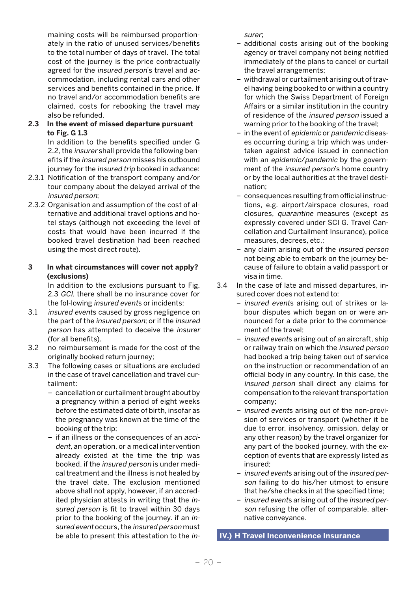maining costs will be reimbursed proportionately in the ratio of unused services/benefits to the total number of days of travel. The total cost of the journey is the price contractually agreed for the insured person's travel and accommodation, including rental cars and other services and benefits contained in the price. If no travel and/or accommodation benefits are claimed, costs for rebooking the travel may also be refunded.

## **2.3 In the event of missed departure pursuant to Fig. G 1.3**

 In addition to the benefits specified under G 2.2, the insurer shall provide the following benefits if the insured person misses his outbound journey for the insured trip booked in advance:

- 2.3.1 Notification of the transport company and/or tour company about the delayed arrival of the insured person;
- 2.3.2 Organisation and assumption of the cost of alternative and additional travel options and hotel stays (although not exceeding the level of costs that would have been incurred if the booked travel destination had been reached using the most direct route).

## **3 In what circumstances will cover not apply? (exclusions)**

 In addition to the exclusions pursuant to Fig. 2.3 GCI, there shall be no insurance cover for the fol-lowing insured events or incidents:

- 3.1 insured events caused by gross negligence on the part of the insured person; or if the insured person has attempted to deceive the insurer (for all benefits).
- 3.2 no reimbursement is made for the cost of the originally booked return journey;
- 3.3 The following cases or situations are excluded in the case of travel cancellation and travel curtailment:
	- cancellation or curtailment brought about by a pregnancy within a period of eight weeks before the estimated date of birth, insofar as the pregnancy was known at the time of the booking of the trip;
	- if an illness or the consequences of an accident, an operation, or a medical intervention already existed at the time the trip was booked, if the insured person is under medical treatment and the illness is not healed by the travel date. The exclusion mentioned above shall not apply, however, if an accredited physician attests in writing that the insured person is fit to travel within 30 days prior to the booking of the journey. if an insured event occurs, the insured person must be able to present this attestation to the in-

surer;

- additional costs arising out of the booking agency or travel company not being notified immediately of the plans to cancel or curtail the travel arrangements;
- withdrawal or curtailment arising out of travel having being booked to or within a country for which the Swiss Department of Foreign Affairs or a similar institution in the country of residence of the insured person issued a warning prior to the booking of the travel:
- in the event of epidemic or pandemic diseases occurring during a trip which was undertaken against advice issued in connection with an epidemic/pandemic by the government of the insured person's home country or by the local authorities at the travel destination;
- consequences resulting from official instructions, e.g. airport/airspace closures, road closures, quarantine measures (except as expressly covered under SCI G. Travel Cancellation and Curtailment Insurance), police measures, decrees, etc.;
- any claim arising out of the insured person not being able to embark on the journey because of failure to obtain a valid passport or visa in time.
- 3.4 In the case of late and missed departures, insured cover does not extend to:
	- insured events arising out of strikes or labour disputes which began on or were announced for a date prior to the commencement of the travel;
	- insured events arising out of an aircraft, ship or railway train on which the insured person had booked a trip being taken out of service on the instruction or recommendation of an official body in any country. In this case, the insured person shall direct any claims for compensation to the relevant transportation company;
	- insured events arising out of the non-provision of services or transport (whether it be due to error, insolvency, omission, delay or any other reason) by the travel organizer for any part of the booked journey, with the exception of events that are expressly listed as insured;
	- insured events arising out of the insured person failing to do his/her utmost to ensure that he/she checks in at the specified time;
	- insured events arising out of the insured person refusing the offer of comparable, alternative conveyance.

**IV.) H Travel Inconvenience Insurance**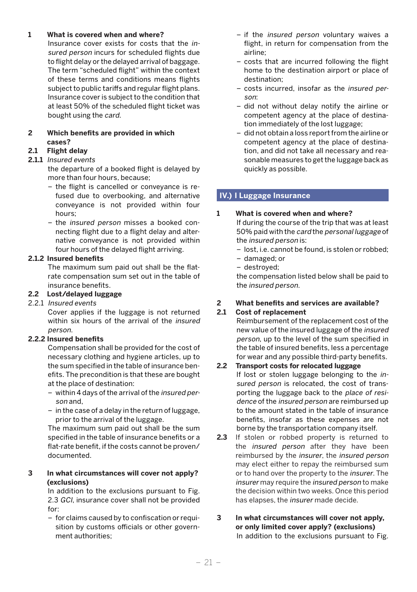## **1 What is covered when and where?**

 Insurance cover exists for costs that the insured person incurs for scheduled flights due to flight delay or the delayed arrival of baggage. The term "scheduled flight" within the context of these terms and conditions means flights subject to public tariffs and regular flight plans. Insurance cover is subject to the condition that at least 50% of the scheduled flight ticket was bought using the card.

## **2 Which benefits are provided in which cases?**

## **2.1 Flight delay**

## **2.1.1** Insured events

 the departure of a booked flight is delayed by more than four hours, because;

- the flight is cancelled or conveyance is refused due to overbooking, and alternative conveyance is not provided within four hours;
- the insured person misses a booked connecting flight due to a flight delay and alternative conveyance is not provided within four hours of the delayed flight arriving.

## **2.1.2 Insured benefits**

 The maximum sum paid out shall be the flatrate compensation sum set out in the table of insurance benefits.

## **2.2 Lost/delayed luggage**

## 2.2.1 Insured events

 Cover applies if the luggage is not returned within six hours of the arrival of the insured person.

## **2.2.2 Insured benefits**

 Compensation shall be provided for the cost of necessary clothing and hygiene articles, up to the sum specified in the table of insurance benefits. The precondition is that these are bought at the place of destination:

- within 4 days of the arrival of the insured person and,
- in the case of a delay in the return of luggage, prior to the arrival of the luggage.

 The maximum sum paid out shall be the sum specified in the table of insurance benefits or a flat-rate benefit, if the costs cannot be proven/ documented.

## **3 In what circumstances will cover not apply? (exclusions)**

 In addition to the exclusions pursuant to Fig. 2.3 GCI, insurance cover shall not be provided for:

– for claims caused by to confiscation or requisition by customs officials or other government authorities;

- if the insured person voluntary waives a flight, in return for compensation from the airline;
- costs that are incurred following the flight home to the destination airport or place of destination;
- costs incurred, insofar as the insured person:
- did not without delay notify the airline or competent agency at the place of destination immediately of the lost luggage;
- did not obtain a loss report from the airline or competent agency at the place of destination, and did not take all necessary and reasonable measures to get the luggage back as quickly as possible.

## **IV.) I Luggage Insurance**

## **1 What is covered when and where?**

 If during the course of the trip that was at least 50% paid with the card the personal luggage of the insured person is:

– lost, i.e. cannot be found, is stolen or robbed;

- damaged; or
- destroyed;

 the compensation listed below shall be paid to the insured person.

## **2 What benefits and services are available?**

## **2.1 Cost of replacement**

 Reimbursement of the replacement cost of the new value of the insured luggage of the insured person, up to the level of the sum specified in the table of insured benefits, less a percentage for wear and any possible third-party benefits.

## **2.2 Transport costs for relocated luggage**

 If lost or stolen luggage belonging to the insured person is relocated, the cost of transporting the luggage back to the place of residence of the insured person are reimbursed up to the amount stated in the table of insurance benefits, insofar as these expenses are not borne by the transportation company itself.

- 2.3 If stolen or robbed property is returned to the *insured person* after they have been reimbursed by the insurer, the insured person may elect either to repay the reimbursed sum or to hand over the property to the insurer. The insurer may require the insured person to make the decision within two weeks. Once this period has elapses, the insurer made decide.
- **3 In what circumstances will cover not apply, or only limited cover apply? (exclusions)** In addition to the exclusions pursuant to Fig.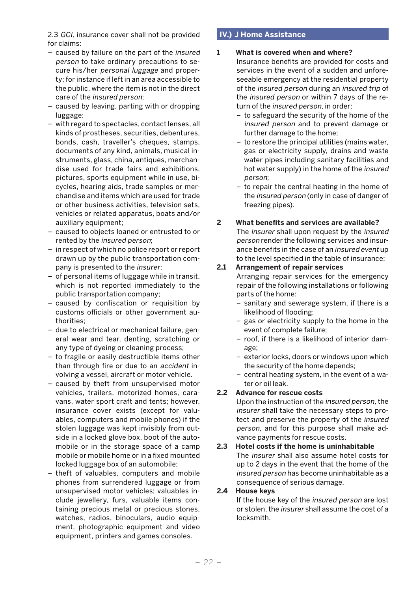2.3 GCI, insurance cover shall not be provided for claims:

- caused by failure on the part of the insured person to take ordinary precautions to secure his/her personal luggage and property; for instance if left in an area accessible to the public, where the item is not in the direct care of the insured person;
- caused by leaving, parting with or dropping luggage;
- with regard to spectacles, contact lenses, all kinds of prostheses, securities, debentures, bonds, cash, traveller's cheques, stamps, documents of any kind, animals, musical instruments, glass, china, antiques, merchandise used for trade fairs and exhibitions, pictures, sports equipment while in use, bicycles, hearing aids, trade samples or merchandise and items which are used for trade or other business activities, television sets, vehicles or related apparatus, boats and/or auxiliary equipment;
- caused to objects loaned or entrusted to or rented by the insured person;
- in respect of which no police report or report drawn up by the public transportation company is presented to the insurer;
- of personal items of luggage while in transit, which is not reported immediately to the public transportation company;
- caused by confiscation or requisition by customs officials or other government authorities;
- due to electrical or mechanical failure, general wear and tear, denting, scratching or any type of dyeing or cleaning process;
- to fragile or easily destructible items other than through fire or due to an accident involving a vessel, aircraft or motor vehicle.
- caused by theft from unsupervised motor vehicles, trailers, motorized homes, caravans, water sport craft and tents; however, insurance cover exists (except for valuables, computers and mobile phones) if the stolen luggage was kept invisibly from outside in a locked glove box, boot of the automobile or in the storage space of a camp mobile or mobile home or in a fixed mounted locked luggage box of an automobile;
- theft of valuables, computers and mobile phones from surrendered luggage or from unsupervised motor vehicles; valuables include jewellery, furs, valuable items containing precious metal or precious stones, watches, radios, binoculars, audio equipment, photographic equipment and video equipment, printers and games consoles.

## **IV.) J Home Assistance**

## **1 What is covered when and where?**

 Insurance benefits are provided for costs and services in the event of a sudden and unforeseeable emergency at the residential property of the insured person during an insured trip of the insured person or within 7 days of the return of the insured person, in order:

- to safeguard the security of the home of the insured person and to prevent damage or further damage to the home;
- to restore the principal utilities (mains water, gas or electricity supply, drains and waste water pipes including sanitary facilities and hot water supply) in the home of the insured person;
- to repair the central heating in the home of the insured person (only in case of danger of freezing pipes).

## **2 What benefits and services are available?**

 The insurer shall upon request by the insured person render the following services and insurance benefits in the case of an insured event up to the level specified in the table of insurance:

## **2.1 Arrangement of repair services**

 Arranging repair services for the emergency repair of the following installations or following parts of the home:

- sanitary and sewerage system, if there is a likelihood of flooding;
- gas or electricity supply to the home in the event of complete failure;
- roof, if there is a likelihood of interior damage;
- exterior locks, doors or windows upon which the security of the home depends;
- central heating system, in the event of a water or oil leak.

## **2.2 Advance for rescue costs**

 Upon the instruction of the insured person, the insurer shall take the necessary steps to protect and preserve the property of the insured person, and for this purpose shall make advance payments for rescue costs.

## **2.3 Hotel costs if the home is uninhabitable**

 The insurer shall also assume hotel costs for up to 2 days in the event that the home of the insured person has become uninhabitable as a consequence of serious damage.

## **2.4 House keys**

 If the house key of the insured person are lost or stolen, the insurer shall assume the cost of a locksmith.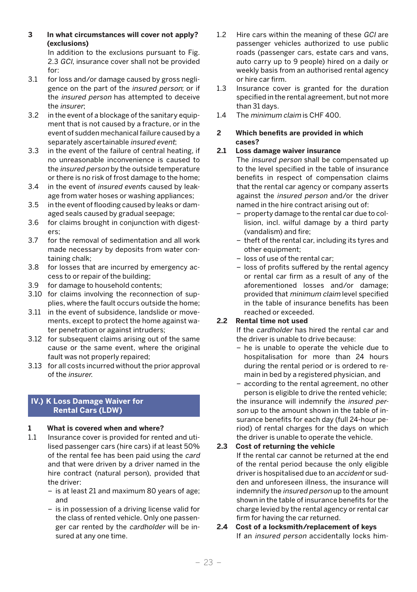**3 In what circumstances will cover not apply? (exclusions)**

 In addition to the exclusions pursuant to Fig. 2.3 GCI, insurance cover shall not be provided for:

- 3.1 for loss and/or damage caused by gross negligence on the part of the insured person; or if the insured person has attempted to deceive the insurer;
- 3.2 in the event of a blockage of the sanitary equipment that is not caused by a fracture, or in the event of sudden mechanical failure caused by a separately ascertainable insured event;
- 3.3 in the event of the failure of central heating, if no unreasonable inconvenience is caused to the insured person by the outside temperature or there is no risk of frost damage to the home;
- 3.4 in the event of insured events caused by leakage from water hoses or washing appliances;
- 3.5 in the event of flooding caused by leaks or damaged seals caused by gradual seepage;
- 3.6 for claims brought in conjunction with digesters;
- 3.7 for the removal of sedimentation and all work made necessary by deposits from water containing chalk;
- 3.8 for losses that are incurred by emergency access to or repair of the building;
- 3.9 for damage to household contents;
- 3.10 for claims involving the reconnection of supplies, where the fault occurs outside the home;
- 3.11 in the event of subsidence, landslide or movements, except to protect the home against water penetration or against intruders;
- 3.12 for subsequent claims arising out of the same cause or the same event, where the original fault was not properly repaired;
- 3.13 for all costs incurred without the prior approval of the insurer.

## **IV.) K Loss Damage Waiver for Rental Cars (LDW)**

## **1 What is covered when and where?**

- 1.1 Insurance cover is provided for rented and utilised passenger cars (hire cars) if at least 50% of the rental fee has been paid using the card and that were driven by a driver named in the hire contract (natural person), provided that the driver:
	- is at least 21 and maximum 80 years of age; and
	- is in possession of a driving license valid for the class of rented vehicle. Only one passenger car rented by the cardholder will be insured at any one time.
- 1.2 Hire cars within the meaning of these GCI are passenger vehicles authorized to use public roads (passenger cars, estate cars and vans, auto carry up to 9 people) hired on a daily or weekly basis from an authorised rental agency or hire car firm.
- 1.3 Insurance cover is granted for the duration specified in the rental agreement, but not more than 31 days.
- 1.4 The minimum claim is CHF 400.

## **2 Which benefits are provided in which cases?**

## **2.1 Loss damage waiver insurance**

 The insured person shall be compensated up to the level specified in the table of insurance benefits in respect of compensation claims that the rental car agency or company asserts against the insured person and/or the driver named in the hire contract arising out of:

- property damage to the rental car due to collision, incl. wilful damage by a third party (vandalism) and fire;
- theft of the rental car, including its tyres and other equipment;
- loss of use of the rental car;
- loss of profits suffered by the rental agency or rental car firm as a result of any of the aforementioned losses and/or damage; provided that minimum claim level specified in the table of insurance benefits has been reached or exceeded.

## **2.2 Rental time not used**

 If the cardholder has hired the rental car and the driver is unable to drive because:

– he is unable to operate the vehicle due to hospitalisation for more than 24 hours during the rental period or is ordered to remain in bed by a registered physician, and

– according to the rental agreement, no other person is eligible to drive the rented vehicle; the insurance will indemnify the insured person up to the amount shown in the table of insurance benefits for each day (full 24-hour period) of rental charges for the days on which the driver is unable to operate the vehicle.

## **2.3 Cost of returning the vehicle**

 If the rental car cannot be returned at the end of the rental period because the only eligible driver is hospitalised due to an accident or sudden and unforeseen illness, the insurance will indemnify the insured person up to the amount shown in the table of insurance benefits for the charge levied by the rental agency or rental car firm for having the car returned.

**2.4 Cost of a locksmith/replacement of keys** If an insured person accidentally locks him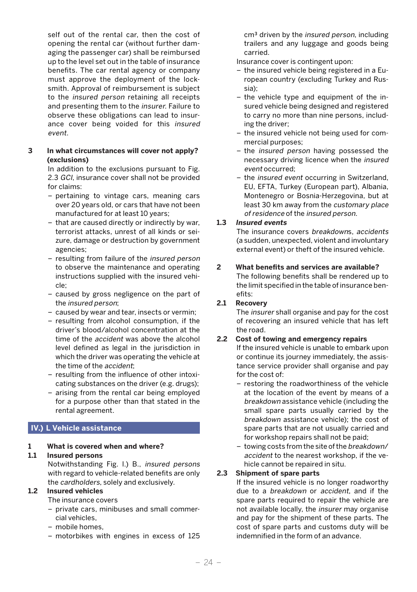self out of the rental car, then the cost of opening the rental car (without further damaging the passenger car) shall be reimbursed up to the level set out in the table of insurance benefits. The car rental agency or company must approve the deployment of the locksmith. Approval of reimbursement is subject to the insured person retaining all receipts and presenting them to the insurer. Failure to observe these obligations can lead to insurance cover being voided for this insured event.

## **3 In what circumstances will cover not apply? (exclusions)**

 In addition to the exclusions pursuant to Fig. 2.3 GCI, insurance cover shall not be provided for claims:

- pertaining to vintage cars, meaning cars over 20 years old, or cars that have not been manufactured for at least 10 years;
- that are caused directly or indirectly by war, terrorist attacks, unrest of all kinds or seizure, damage or destruction by government agencies;
- resulting from failure of the insured person to observe the maintenance and operating instructions supplied with the insured vehicle;
- caused by gross negligence on the part of the insured person;
- caused by wear and tear, insects or vermin;
- resulting from alcohol consumption, if the driver's blood/alcohol concentration at the time of the accident was above the alcohol level defined as legal in the jurisdiction in which the driver was operating the vehicle at the time of the accident;
- resulting from the influence of other intoxicating substances on the driver (e.g. drugs);
- arising from the rental car being employed for a purpose other than that stated in the rental agreement.

## **IV.) L Vehicle assistance**

## **1 What is covered when and where?**

## **1.1 Insured persons**

 Notwithstanding Fig. I.) B., insured persons with regard to vehicle-related benefits are only the cardholders, solely and exclusively.

## **1.2 Insured vehicles**

The insurance covers

- private cars, minibuses and small commercial vehicles,
- mobile homes,
- motorbikes with engines in excess of 125

cm<sup>3</sup> driven by the *insured person*, including trailers and any luggage and goods being carried.

Insurance cover is contingent upon:

- the insured vehicle being registered in a European country (excluding Turkey and Russia);
- the vehicle type and equipment of the insured vehicle being designed and registered to carry no more than nine persons, including the driver;
- the insured vehicle not being used for commercial purposes;
- the insured person having possessed the necessary driving licence when the insured event occurred;
- the insured event occurring in Switzerland, EU, EFTA, Turkey (European part), Albania, Montenegro or Bosnia-Herzegovina, but at least 30 km away from the customary place of residence of the insured person.

## **1.3 Insured events**

 The insurance covers breakdowns, accidents (a sudden, unexpected, violent and involuntary external event) or theft of the insured vehicle.

#### **2 What benefits and services are available?** The following benefits shall be rendered up to the limit specified in the table of insurance benefits:

## **2.1 Recovery**

 The insurer shall organise and pay for the cost of recovering an insured vehicle that has left the road.

## **2.2 Cost of towing and emergency repairs**

 If the insured vehicle is unable to embark upon or continue its journey immediately, the assistance service provider shall organise and pay for the cost of:

- restoring the roadworthiness of the vehicle at the location of the event by means of a breakdown assistance vehicle (including the small spare parts usually carried by the breakdown assistance vehicle); the cost of spare parts that are not usually carried and for workshop repairs shall not be paid;
- towing costs from the site of the breakdown/ accident to the nearest workshop, if the vehicle cannot be repaired in situ.

## **2.3 Shipment of spare parts**

 If the insured vehicle is no longer roadworthy due to a breakdown or accident, and if the spare parts required to repair the vehicle are not available locally, the insurer may organise and pay for the shipment of these parts. The cost of spare parts and customs duty will be indemnified in the form of an advance.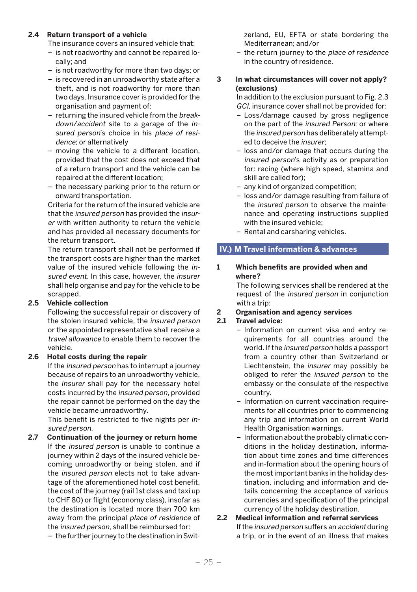## **2.4 Return transport of a vehicle**

The insurance covers an insured vehicle that:

- is not roadworthy and cannot be repaired locally; and
- is not roadworthy for more than two days; or
- is recovered in an unroadworthy state after a theft, and is not roadworthy for more than two days. Insurance cover is provided for the organisation and payment of:
- returning the insured vehicle from the breakdown/accident site to a garage of the insured person's choice in his place of residence; or alternatively
- moving the vehicle to a different location, provided that the cost does not exceed that of a return transport and the vehicle can be repaired at the different location;
- the necessary parking prior to the return or onward transportation.

 Criteria for the return of the insured vehicle are that the insured person has provided the insurer with written authority to return the vehicle and has provided all necessary documents for the return transport.

 The return transport shall not be performed if the transport costs are higher than the market value of the insured vehicle following the insured event. In this case, however, the insurer shall help organise and pay for the vehicle to be scrapped.

## **2.5 Vehicle collection**

 Following the successful repair or discovery of the stolen insured vehicle, the insured person or the appointed representative shall receive a travel allowance to enable them to recover the vehicle.

## **2.6 Hotel costs during the repair**

 If the insured person has to interrupt a journey because of repairs to an unroadworthy vehicle, the insurer shall pay for the necessary hotel costs incurred by the insured person, provided the repair cannot be performed on the day the vehicle became unroadworthy.

 This benefit is restricted to five nights per insured person.

**2.7 Continuation of the journey or return home** If the insured person is unable to continue a journey within 2 days of the insured vehicle becoming unroadworthy or being stolen, and if the insured person elects not to take advantage of the aforementioned hotel cost benefit, the cost of the journey (rail 1st class and taxi up to CHF 80) or flight (economy class), insofar as the destination is located more than 700 km away from the principal place of residence of the insured person, shall be reimbursed for:

– the further journey to the destination in Swit-

zerland, EU, EFTA or state bordering the Mediterranean; and/or

- the return journey to the place of residence in the country of residence.
- **3 In what circumstances will cover not apply? (exclusions)**

 In addition to the exclusion pursuant to Fig. 2.3 GCI, insurance cover shall not be provided for:

- Loss/damage caused by gross negligence on the part of the insured Person; or where the insured person has deliberately attempted to deceive the insurer;
- loss and/or damage that occurs during the insured person's activity as or preparation for: racing (where high speed, stamina and skill are called for);
- any kind of organized competition;
- loss and/or damage resulting from failure of the insured person to observe the maintenance and operating instructions supplied with the insured vehicle;
- Rental and carsharing vehicles.

## **IV.) M Travel information & advances**

## **1 Which benefits are provided when and where?**

 The following services shall be rendered at the request of the insured person in conjunction with a trip:

## **2 Organisation and agency services**

## **2.1 Travel advice:**

- Information on current visa and entry requirements for all countries around the world. If the insured person holds a passport from a country other than Switzerland or Liechtenstein, the insurer may possibly be obliged to refer the insured person to the embassy or the consulate of the respective country.
- Information on current vaccination requirements for all countries prior to commencing any trip and information on current World Health Organisation warnings.
- Information about the probably climatic conditions in the holiday destination, information about time zones and time differences and in-formation about the opening hours of the most important banks in the holiday destination, including and information and details concerning the acceptance of various currencies and specification of the principal currency of the holiday destination.

## **2.2 Medical information and referral services** If the insured person suffers an accident during a trip, or in the event of an illness that makes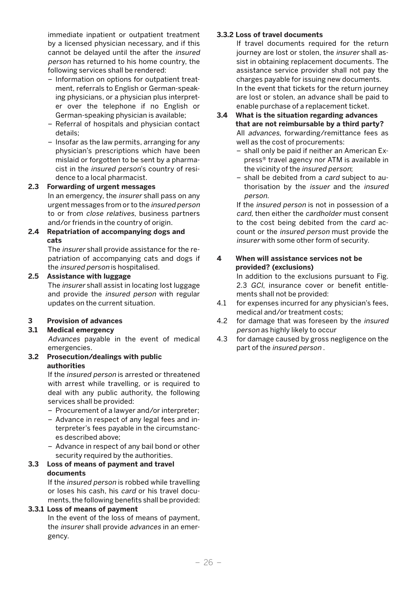immediate inpatient or outpatient treatment by a licensed physician necessary, and if this cannot be delayed until the after the insured person has returned to his home country, the following services shall be rendered:

- Information on options for outpatient treatment, referrals to English or German-speaking physicians, or a physician plus interpreter over the telephone if no English or German-speaking physician is available;
- Referral of hospitals and physician contact details;
- Insofar as the law permits, arranging for any physician's prescriptions which have been mislaid or forgotten to be sent by a pharmacist in the insured person's country of residence to a local pharmacist.

## **2.3 Forwarding of urgent messages**

 In an emergency, the insurer shall pass on any urgent messages from or to the insured person to or from close relatives, business partners and/or friends in the country of origin.

**2.4 Repatriation of accompanying dogs and cats** 

> The insurer shall provide assistance for the repatriation of accompanying cats and dogs if the insured person is hospitalised.

## **2.5 Assistance with luggage**

 The insurer shall assist in locating lost luggage and provide the insured person with regular updates on the current situation.

## **3 Provision of advances**

## **3.1 Medical emergency**

 Advances payable in the event of medical emergencies.

## **3.2 Prosecution/dealings with public authorities**

 If the insured person is arrested or threatened with arrest while travelling, or is required to deal with any public authority, the following services shall be provided:

- Procurement of a lawyer and/or interpreter;
- Advance in respect of any legal fees and interpreter's fees payable in the circumstances described above;
- Advance in respect of any bail bond or other security required by the authorities.

#### **3.3 Loss of means of payment and travel documents**

 If the insured person is robbed while travelling or loses his cash, his card or his travel documents, the following benefits shall be provided:

## **3.3.1 Loss of means of payment**

 In the event of the loss of means of payment, the insurer shall provide advances in an emergency.

## **3.3.2 Loss of travel documents**

 If travel documents required for the return journey are lost or stolen, the *insurer* shall assist in obtaining replacement documents. The assistance service provider shall not pay the charges payable for issuing new documents. In the event that tickets for the return journey are lost or stolen, an advance shall be paid to enable purchase of a replacement ticket.

- **3.4 What is the situation regarding advances that are not reimbursable by a third party?**  All advances, forwarding/remittance fees as well as the cost of procurements:
	- shall only be paid if neither an American Express® travel agency nor ATM is available in the vicinity of the insured person;
	- shall be debited from a card subject to authorisation by the issuer and the insured person.

 If the insured person is not in possession of a card, then either the cardholder must consent to the cost being debited from the card account or the insured person must provide the insurer with some other form of security.

- **4 When will assistance services not be provided? (exclusions)** In addition to the exclusions pursuant to Fig. 2.3 GCI, insurance cover or benefit entitlements shall not be provided:
- 4.1 for expenses incurred for any physician's fees, medical and/or treatment costs;
- 4.2 for damage that was foreseen by the insured person as highly likely to occur
- 4.3 for damage caused by gross negligence on the part of the insured person .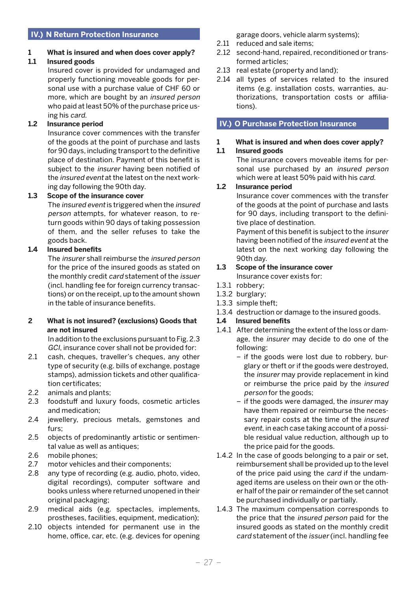## **IV.) N Return Protection Insurance**

## **1 What is insured and when does cover apply?**

## **1.1 Insured goods**

 Insured cover is provided for undamaged and properly functioning moveable goods for personal use with a purchase value of CHF 60 or more, which are bought by an insured person who paid at least 50% of the purchase price using his card.

## **1.2 Insurance period**

 Insurance cover commences with the transfer of the goods at the point of purchase and lasts for 90 days, including transport to the definitive place of destination. Payment of this benefit is subject to the insurer having been notified of the insured event at the latest on the next working day following the 90th day.

## **1.3 Scope of the insurance cover**

 The insured event is triggered when the insured person attempts, for whatever reason, to return goods within 90 days of taking possession of them, and the seller refuses to take the goods back.

## **1.4 Insured benefits**

 The insurer shall reimburse the insured person for the price of the insured goods as stated on the monthly credit card statement of the issuer (incl. handling fee for foreign currency transactions) or on the receipt, up to the amount shown in the table of insurance benefits.

## **2 What is not insured? (exclusions) Goods that are not insured**

 In addition to the exclusions pursuant to Fig. 2.3 GCI, insurance cover shall not be provided for:

- 2.1 cash, cheques, traveller's cheques, any other type of security (e.g. bills of exchange, postage stamps), admission tickets and other qualification certificates;
- 2.2 animals and plants;
- 2.3 foodstuff and luxury foods, cosmetic articles and medication;
- 2.4 jewellery, precious metals, gemstones and furs;
- 2.5 objects of predominantly artistic or sentimental value as well as antiques;
- 2.6 mobile phones;
- 2.7 motor vehicles and their components;
- 2.8 any type of recording (e.g. audio, photo, video, digital recordings), computer software and books unless where returned unopened in their original packaging;
- 2.9 medical aids (e.g. spectacles, implements, prostheses, facilities, equipment, medication);
- 2.10 objects intended for permanent use in the home, office, car, etc. (e.g. devices for opening

garage doors, vehicle alarm systems);

- 2.11 reduced and sale items:
- 2.12 second-hand, repaired, reconditioned or transformed articles;
- 2.13 real estate (property and land);
- 2.14 all types of services related to the insured items (e.g. installation costs, warranties, authorizations, transportation costs or affiliations).

## **IV.) O Purchase Protection Insurance**

## **1 What is insured and when does cover apply?**

#### **1.1 Insured goods**

 The insurance covers moveable items for personal use purchased by an insured person which were at least 50% paid with his card.

## **1.2 Insurance period**

 Insurance cover commences with the transfer of the goods at the point of purchase and lasts for 90 days, including transport to the definitive place of destination.

 Payment of this benefit is subject to the insurer having been notified of the insured event at the latest on the next working day following the 90th day.

## **1.3 Scope of the insurance cover**

Insurance cover exists for:

- 1.3.1 robbery;
- 1.3.2 burglary;
- 1.3.3 simple theft;
- 1.3.4 destruction or damage to the insured goods.

## **1.4 Insured benefits**

- 1.4.1 After determining the extent of the loss or damage, the insurer may decide to do one of the following:
	- if the goods were lost due to robbery, burglary or theft or if the goods were destroyed, the insurer may provide replacement in kind or reimburse the price paid by the insured person for the goods;
	- if the goods were damaged, the insurer may have them repaired or reimburse the necessary repair costs at the time of the insured event, in each case taking account of a possible residual value reduction, although up to the price paid for the goods.
- 1.4.2 In the case of goods belonging to a pair or set, reimbursement shall be provided up to the level of the price paid using the card if the undamaged items are useless on their own or the other half of the pair or remainder of the set cannot be purchased individually or partially.
- 1.4.3 The maximum compensation corresponds to the price that the insured person paid for the insured goods as stated on the monthly credit card statement of the issuer (incl. handling fee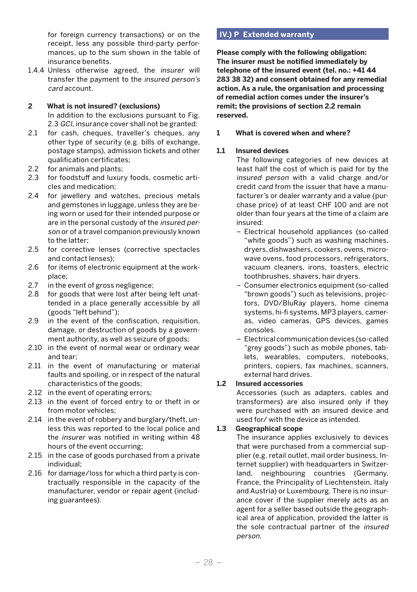for foreign currency transactions) or on the receipt, less any possible third-party performances, up to the sum shown in the table of insurance benefits.

1.4.4 Unless otherwise agreed, the insurer will transfer the payment to the insured person's card account.

## **2 What is not insured? (exclusions)**

 In addition to the exclusions pursuant to Fig. 2.3 GCI, insurance cover shall not be granted:

- 2.1 for cash, cheques, traveller's cheques, any other type of security (e.g. bills of exchange, postage stamps), admission tickets and other qualification certificates;
- 2.2 for animals and plants;
- 2.3 for foodstuff and luxury foods, cosmetic articles and medication;
- 2.4 for jewellery and watches, precious metals and gemstones in luggage, unless they are being worn or used for their intended purpose or are in the personal custody of the insured person or of a travel companion previously known to the latter;
- 2.5 for corrective lenses (corrective spectacles and contact lenses);
- 2.6 for items of electronic equipment at the workplace;
- 2.7 in the event of gross negligence;
- 2.8 for goods that were lost after being left unattended in a place generally accessible by all (goods "left behind");
- 2.9 in the event of the confiscation, requisition, damage, or destruction of goods by a government authority, as well as seizure of goods;
- 2.10 in the event of normal wear or ordinary wear and tear;
- 2.11 in the event of manufacturing or material faults and spoiling, or in respect of the natural characteristics of the goods;
- 2.12 in the event of operating errors;
- 2.13 in the event of forced entry to or theft in or from motor vehicles;
- 2.14 in the event of robbery and burglary/theft, unless this was reported to the local police and the insurer was notified in writing within 48 hours of the event occurring;
- 2.15 in the case of goods purchased from a private individual;
- 2.16 for damage/loss for which a third party is contractually responsible in the capacity of the manufacturer, vendor or repair agent (including guarantees).

## **IV.) P Extended warranty**

**Please comply with the following obligation: The insurer must be notified immediately by telephone of the insured event (tel. no.: +41 44 283 38 32) and consent obtained for any remedial action. As a rule, the organisation and processing of remedial action comes under the insurer's remit; the provisions of section 2.2 remain reserved.**

## **1 What is covered when and where?**

## **1.1 Insured devices**

 The following categories of new devices at least half the cost of which is paid for by the insured person with a valid charge and/or credit card from the issuer that have a manufacturer's or dealer warranty and a value (purchase price) of at least CHF 100 and are not older than four years at the time of a claim are insured:

- Electrical household appliances (so-called "white goods") such as washing machines, dryers, dishwashers, cookers, ovens, microwave ovens, food processors, refrigerators, vacuum cleaners, irons, toasters, electric toothbrushes, shavers, hair dryers.
- Consumer electronics equipment (so-called "brown goods") such as televisions, projectors, DVD/BluRay players, home cinema systems, hi-fi systems, MP3 players, cameras, video cameras, GPS devices, games consoles.
- Electrical communication devices (so-called "grey goods") such as mobile phones, tablets, wearables, computers, notebooks, printers, copiers, fax machines, scanners, external hard drives.

## **1.2 Insured accessories**

 Accessories (such as adapters, cables and transformers) are also insured only if they were purchased with an insured device and used for/ with the device as intended.

## **1.3 Geographical scope**

 The insurance applies exclusively to devices that were purchased from a commercial supplier (e.g. retail outlet, mail order business, Internet supplier) with headquarters in Switzerland, neighbouring countries (Germany, France, the Principality of Liechtenstein, Italy and Austria) or Luxembourg. There is no insurance cover if the supplier merely acts as an agent for a seller based outside the geographical area of application, provided the latter is the sole contractual partner of the insured person.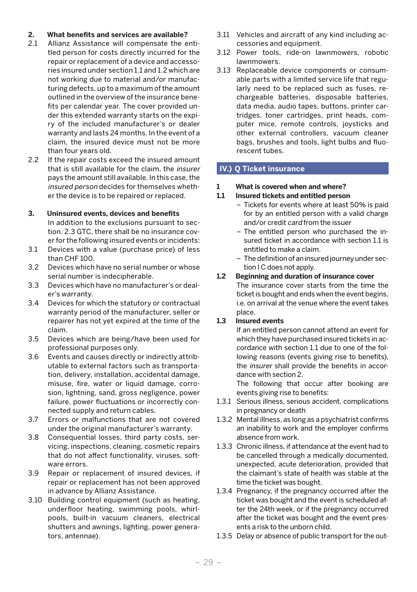## **2. What benefits and services are available?**

- 2.1 Allianz Assistance will compensate the entitled person for costs directly incurred for the repair or replacement of a device and accessories insured under section 1.1 and 1.2 which are not working due to material and/or manufacturing defects, up to a maximum of the amount outlined in the overview of the insurance benefits per calendar year. The cover provided under this extended warranty starts on the expiry of the included manufacturer's or dealer warranty and lasts 24 months. In the event of a claim, the insured device must not be more than four years old.
- 2.2 If the repair costs exceed the insured amount that is still available for the claim, the insurer pays the amount still available. In this case, the insured person decides for themselves whether the device is to be repaired or replaced.

## **3. Uninsured events, devices and benefits**

 In addition to the exclusions pursuant to section. 2.3 GTC, there shall be no insurance cover for the following insured events or incidents:

- 3.1 Devices with a value (purchase price) of less than CHF 100.
- 3.2 Devices which have no serial number or whose serial number is indecipherable.
- 3.3 Devices which have no manufacturer's or dealer's warranty.
- 3.4 Devices for which the statutory or contractual warranty period of the manufacturer, seller or repairer has not yet expired at the time of the claim.
- 3.5 Devices which are being/have been used for professional purposes only.
- 3.6 Events and causes directly or indirectly attributable to external factors such as transportation, delivery, installation, accidental damage, misuse, fire, water or liquid damage, corrosion, lightning, sand, gross negligence, power failure, power fluctuations or incorrectly connected supply and return cables.
- 3.7 Errors or malfunctions that are not covered under the original manufacturer's warranty.
- 3.8 Consequential losses, third party costs, servicing, inspections, cleaning, cosmetic repairs that do not affect functionality, viruses, software errors.
- 3.9 Repair or replacement of insured devices, if repair or replacement has not been approved in advance by Allianz Assistance.
- 3.10 Building control equipment (such as heating, underfloor heating, swimming pools, whirlpools, built-in vacuum cleaners, electrical shutters and awnings, lighting, power generators, antennae).
- 3.11 Vehicles and aircraft of any kind including accessories and equipment.
- 3.12 Power tools, ride-on lawnmowers, robotic lawnmowers.
- 3.13 Replaceable device components or consumable parts with a limited service life that regularly need to be replaced such as fuses, rechargeable batteries, disposable batteries, data media, audio tapes, buttons, printer cartridges, toner cartridges, print heads, computer mice, remote controls, joysticks and other external controllers, vacuum cleaner bags, brushes and tools, light bulbs and fluorescent tubes.

## **IV.) Q Ticket insurance**

## **1 What is covered when and where?**

- **1.1 Insured tickets and entitled person**
	- Tickets for events where at least 50% is paid for by an entitled person with a valid charge and/or credit card from the issuer
	- The entitled person who purchased the insured ticket in accordance with section 1.1 is entitled to make a claim.
	- The definition of an insured journey under section I C does not apply.

## **1.2 Beginning and duration of insurance cover**

 The insurance cover starts from the time the ticket is bought and ends when the event begins, i.e. on arrival at the venue where the event takes place.

## **1.3 Insured events**

 If an entitled person cannot attend an event for which they have purchased insured tickets in accordance with section 1.1 due to one of the following reasons (events giving rise to benefits), the insurer shall provide the benefits in accordance with section 2.

 The following that occur after booking are events giving rise to benefits:

- 1.3.1 Serious illness, serious accident, complications in pregnancy or death
- 1.3.2 Mental illness, as long as a psychiatrist confirms an inability to work and the employer confirms absence from work.
- 1.3.3 Chronic illness, if attendance at the event had to be cancelled through a medically documented, unexpected, acute deterioration, provided that the claimant's state of health was stable at the time the ticket was bought.
- 1.3.4 Pregnancy, if the pregnancy occurred after the ticket was bought and the event is scheduled after the 24th week, or if the pregnancy occurred after the ticket was bought and the event presents a risk to the unborn child.
- 1.3.5 Delay or absence of public transport for the out-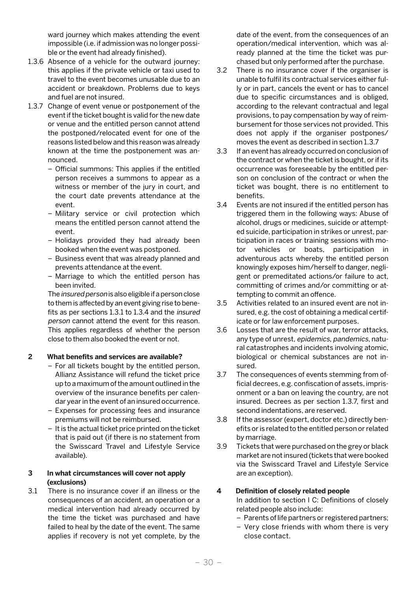ward journey which makes attending the event impossible (i.e. if admission was no longer possible or the event had already finished).

- 1.3.6 Absence of a vehicle for the outward journey: this applies if the private vehicle or taxi used to travel to the event becomes unusable due to an accident or breakdown. Problems due to keys and fuel are not insured.
- 1.3.7 Change of event venue or postponement of the event if the ticket bought is valid for the new date or venue and the entitled person cannot attend the postponed/relocated event for one of the reasons listed below and this reason was already known at the time the postponement was announced.
	- Official summons: This applies if the entitled person receives a summons to appear as a witness or member of the jury in court, and the court date prevents attendance at the event.
	- Military service or civil protection which means the entitled person cannot attend the event.
	- Holidays provided they had already been booked when the event was postponed.
	- Business event that was already planned and prevents attendance at the event.
	- Marriage to which the entitled person has been invited.

 The insured person is also eligible if a person close to them is affected by an event giving rise to benefits as per sections 1.3.1 to 1.3.4 and the insured person cannot attend the event for this reason. This applies regardless of whether the person close to them also booked the event or not.

## **2 What benefits and services are available?**

- For all tickets bought by the entitled person, Allianz Assistance will refund the ticket price up to a maximum of the amount outlined in the overview of the insurance benefits per calendar year in the event of an insured occurrence.
- Expenses for processing fees and insurance premiums will not be reimbursed.
- It is the actual ticket price printed on the ticket that is paid out (if there is no statement from the Swisscard Travel and Lifestyle Service available).

## **3 In what circumstances will cover not apply (exclusions)**

3.1 There is no insurance cover if an illness or the consequences of an accident, an operation or a medical intervention had already occurred by the time the ticket was purchased and have failed to heal by the date of the event. The same applies if recovery is not yet complete, by the date of the event, from the consequences of an operation/medical intervention, which was already planned at the time the ticket was purchased but only performed after the purchase.

- 3.2 There is no insurance cover if the organiser is unable to fulfil its contractual services either fully or in part, cancels the event or has to cancel due to specific circumstances and is obliged, according to the relevant contractual and legal provisions, to pay compensation by way of reimbursement for those services not provided. This does not apply if the organiser postpones/ moves the event as described in section 1.3.7
- 3.3 If an event has already occurred on conclusion of the contract or when the ticket is bought, or if its occurrence was foreseeable by the entitled person on conclusion of the contract or when the ticket was bought, there is no entitlement to benefits.
- 3.4 Events are not insured if the entitled person has triggered them in the following ways: Abuse of alcohol, drugs or medicines, suicide or attempted suicide, participation in strikes or unrest, participation in races or training sessions with motor vehicles or boats, participation in adventurous acts whereby the entitled person knowingly exposes him/herself to danger, negligent or premeditated actions/or failure to act, committing of crimes and/or committing or attempting to commit an offence.
- 3.5 Activities related to an insured event are not insured, e.g. the cost of obtaining a medical certificate or for law enforcement purposes.
- 3.6 Losses that are the result of war, terror attacks, any type of unrest, epidemics, pandemics, natural catastrophes and incidents involving atomic, biological or chemical substances are not insured.
- 3.7 The consequences of events stemming from official decrees, e.g. confiscation of assets, imprisonment or a ban on leaving the country, are not insured. Decrees as per section 1.3.7, first and second indentations, are reserved.
- 3.8 If the assessor (expert, doctor etc.) directly benefits or is related to the entitled person or related by marriage.
- 3.9 Tickets that were purchased on the grey or black market are not insured (tickets that were booked via the Swisscard Travel and Lifestyle Service are an exception).

## **4 Definition of closely related people**

 In addition to section I C: Definitions of closely related people also include:

- Parents of life partners or registered partners;
- Very close friends with whom there is very close contact.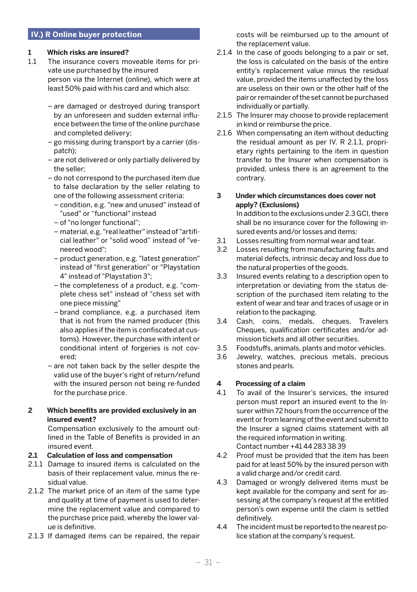## **IV.) R Online buyer protection**

## **1 Which risks are insured?**

- 1.1 The insurance covers moveable items for private use purchased by the insured person via the Internet (online), which were at least 50% paid with his card and which also:
	- are damaged or destroyed during transport by an unforeseen and sudden external influence between the time of the online purchase and completed delivery;
	- go missing during transport by a carrier (dispatch);
	- are not delivered or only partially delivered by the seller;
	- do not correspond to the purchased item due to false declaration by the seller relating to one of the following assessment criteria:
		- condition, e.g. "new and unused" instead of "used" or "functional" instead
		- of "no longer functional";
		- material, e.g. "real leather" instead of "artificial leather" or "solid wood" instead of "veneered wood";
		- product generation, e.g. "latest generation" instead of "first generation" or "Playstation 4" instead of "Playstation 3";
		- the completeness of a product, e.g. "complete chess set" instead of "chess set with one piece missing"
		- brand compliance, e.g. a purchased item that is not from the named producer (this also applies if the item is confiscated at customs). However, the purchase with intent or conditional intent of forgeries is not covered;
	- are not taken back by the seller despite the valid use of the buyer's right of return/refund with the insured person not being re-funded for the purchase price.

## **2 Which benefits are provided exclusively in an insured event?**

 Compensation exclusively to the amount outlined in the Table of Benefits is provided in an insured event.

## **2.1 Calculation of loss and compensation**

- 2.1.1 Damage to insured items is calculated on the basis of their replacement value, minus the residual value.
- 2.1.2 The market price of an item of the same type and quality at time of payment is used to determine the replacement value and compared to the purchase price paid, whereby the lower value is definitive.
- 2.1.3 If damaged items can be repaired, the repair

costs will be reimbursed up to the amount of the replacement value.

- 2.1.4 In the case of goods belonging to a pair or set, the loss is calculated on the basis of the entire entity's replacement value minus the residual value, provided the items unaffected by the loss are useless on their own or the other half of the pair or remainder of the set cannot be purchased individually or partially.
- 2.1.5 The Insurer may choose to provide replacement in kind or reimburse the price.
- 2.1.6 When compensating an item without deducting the residual amount as per IV. R 2.1.1, proprietary rights pertaining to the item in question transfer to the Insurer when compensation is provided, unless there is an agreement to the contrary.

## **3 Under which circumstances does cover not apply? (Exclusions)**

 In addition to the exclusions under 2.3 GCI, there shall be no insurance cover for the following insured events and/or losses and items:

- 3.1 Losses resulting from normal wear and tear.
- 3.2 Losses resulting from manufacturing faults and material defects, intrinsic decay and loss due to the natural properties of the goods.
- 3.3 Insured events relating to a description open to interpretation or deviating from the status description of the purchased item relating to the extent of wear and tear and traces of usage or in relation to the packaging.
- 3.4 Cash, coins, medals, cheques, Travelers Cheques, qualification certificates and/or admission tickets and all other securities.
- 3.5 Foodstuffs, animals, plants and motor vehicles.
- 3.6 Jewelry, watches, precious metals, precious stones and pearls.

## **4 Processing of a claim**

- 4.1 To avail of the Insurer's services, the insured person must report an insured event to the Insurer within 72 hours from the occurrence of the event or from learning of the event and submit to the Insurer a signed claims statement with all the required information in writing. Contact number +41 44 283 38 39
- 4.2 Proof must be provided that the item has been paid for at least 50% by the insured person with a valid charge and/or credit card.
- 4.3 Damaged or wrongly delivered items must be kept available for the company and sent for assessing at the company's request at the entitled person's own expense until the claim is settled definitively.
- 4.4 The incident must be reported to the nearest police station at the company's request.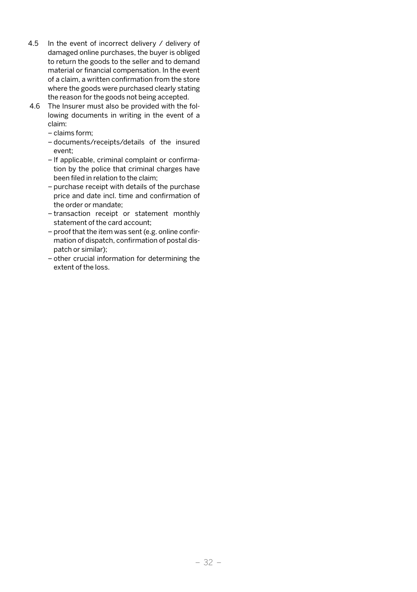- 4.5 In the event of incorrect delivery / delivery of damaged online purchases, the buyer is obliged to return the goods to the seller and to demand material or financial compensation. In the event of a claim, a written confirmation from the store where the goods were purchased clearly stating the reason for the goods not being accepted.
- 4.6 The Insurer must also be provided with the following documents in writing in the event of a claim:
	- claims form;
	- documents/receipts/details of the insured event;
	- If applicable, criminal complaint or confirmation by the police that criminal charges have been filed in relation to the claim;
	- purchase receipt with details of the purchase price and date incl. time and confirmation of the order or mandate;
	- transaction receipt or statement monthly statement of the card account;
	- proof that the item was sent (e.g. online confirmation of dispatch, confirmation of postal dispatch or similar);
	- other crucial information for determining the extent of the loss.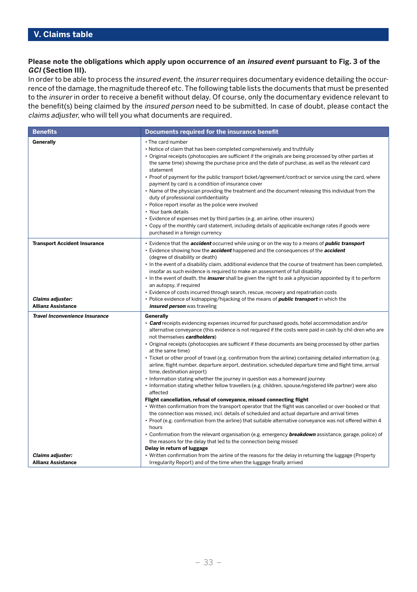## **Please note the obligations which apply upon occurrence of an insured event pursuant to Fig. 3 of the GCI (Section III).**

In order to be able to process the insured event, the insurer requires documentary evidence detailing the occurrence of the damage, the magnitude thereof etc. The following table lists the documents that must be presented to the insurer in order to receive a benefit without delay. Of course, only the documentary evidence relevant to the benefit(s) being claimed by the insured person need to be submitted. In case of doubt, please contact the claims adjuster, who will tell you what documents are required.

| <b>Benefits</b>                                                                             | Documents required for the insurance benefit                                                                                                                                                                                                                                                                                                                                                                                                                                                                                                                                                                                                                                                                                                                                                                                                                                                                                                                                                                                                                                                                                                                                                                                                                                                                                                                                                                                                              |
|---------------------------------------------------------------------------------------------|-----------------------------------------------------------------------------------------------------------------------------------------------------------------------------------------------------------------------------------------------------------------------------------------------------------------------------------------------------------------------------------------------------------------------------------------------------------------------------------------------------------------------------------------------------------------------------------------------------------------------------------------------------------------------------------------------------------------------------------------------------------------------------------------------------------------------------------------------------------------------------------------------------------------------------------------------------------------------------------------------------------------------------------------------------------------------------------------------------------------------------------------------------------------------------------------------------------------------------------------------------------------------------------------------------------------------------------------------------------------------------------------------------------------------------------------------------------|
| Generally                                                                                   | . The card number<br>. Notice of claim that has been completed comprehensively and truthfully<br>• Original receipts (photocopies are sufficient if the originals are being processed by other parties at<br>the same time) showing the purchase price and the date of purchase, as well as the relevant card<br>statement<br>• Proof of payment for the public transport ticket/agreement/contract or service using the card, where<br>payment by card is a condition of insurance cover<br>. Name of the physician providing the treatment and the document releasing this individual from the<br>duty of professional confidentiality<br>• Police report insofar as the police were involved<br>• Your bank details<br>• Evidence of expenses met by third parties (e.g. an airline, other insurers)<br>• Copy of the monthly card statement, including details of applicable exchange rates if goods were<br>purchased in a foreign currency                                                                                                                                                                                                                                                                                                                                                                                                                                                                                                          |
| <b>Transport Accident Insurance</b><br><b>Claims adjuster:</b><br><b>Allianz Assistance</b> | • Evidence that the <i>accident</i> occurred while using or on the way to a means of <i>public transport</i><br>• Evidence showing how the <i>accident</i> happened and the consequences of the <i>accident</i><br>(degree of disability or death)<br>• In the event of a disability claim, additional evidence that the course of treatment has been completed,<br>insofar as such evidence is required to make an assessment of full disability<br>. In the event of death, the <i>insurer</i> shall be given the right to ask a physician appointed by it to perform<br>an autopsy, if required<br>• Evidence of costs incurred through search, rescue, recovery and repatriation costs<br>• Police evidence of kidnapping/hijacking of the means of <b>public transport</b> in which the<br>insured person was traveling                                                                                                                                                                                                                                                                                                                                                                                                                                                                                                                                                                                                                              |
| <b>Travel Inconvenience Insurance</b>                                                       | Generally<br>• Card receipts evidencing expenses incurred for purchased goods, hotel accommodation and/or<br>alternative conveyance (this evidence is not required if the costs were paid in cash by chil-dren who are<br>not themselves cardholders)<br>• Original receipts (photocopies are sufficient if these documents are being processed by other parties<br>at the same time)<br>• Ticket or other proof of travel (e.g. confirmation from the airline) containing detailed information (e.g.<br>airline, flight number, departure airport, destination, scheduled departure time and flight time, arrival<br>time, destination airport)<br>• Information stating whether the journey in question was a homeward journey<br>. Information stating whether fellow travellers (e.g. children, spouse/registered life partner) were also<br>affected<br>Flight cancellation, refusal of conveyance, missed connecting flight<br>. Written confirmation from the transport operator that the flight was cancelled or over-booked or that<br>the connection was missed, incl. details of scheduled and actual departure and arrival times<br>. Proof (e.g. confirmation from the airline) that suitable alternative conveyance was not offered within 4<br>hours<br>• Confirmation from the relevant organisation (e.g. emergency <b>breakdown</b> assistance, garage, police) of<br>the reasons for the delay that led to the connection being missed |
| <b>Claims adjuster:</b>                                                                     | Delay in return of luggage<br>. Written confirmation from the airline of the reasons for the delay in returning the luggage (Property                                                                                                                                                                                                                                                                                                                                                                                                                                                                                                                                                                                                                                                                                                                                                                                                                                                                                                                                                                                                                                                                                                                                                                                                                                                                                                                     |